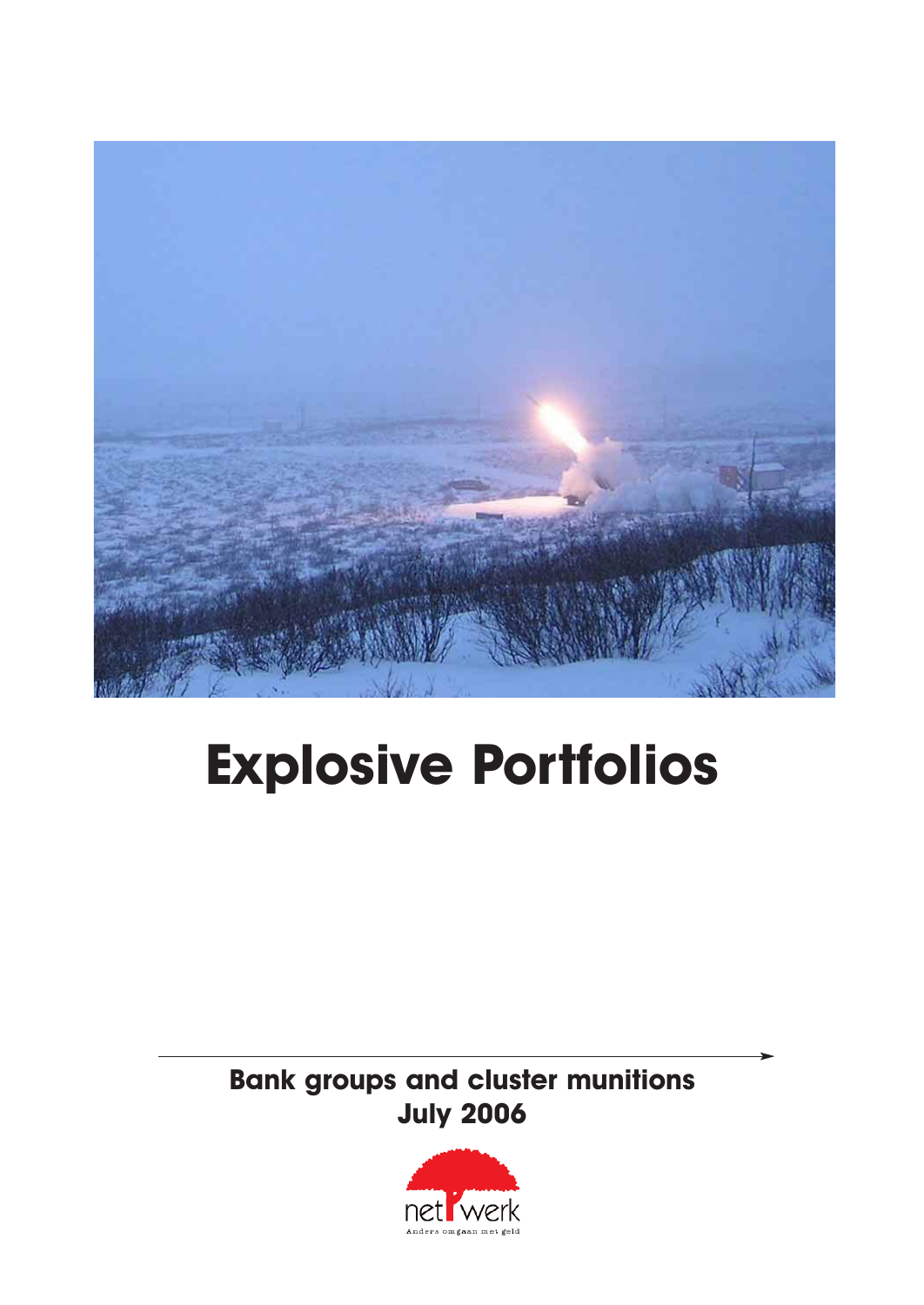

## **Explosive Portfolios**

**Bank groups and cluster munitions July 2006**

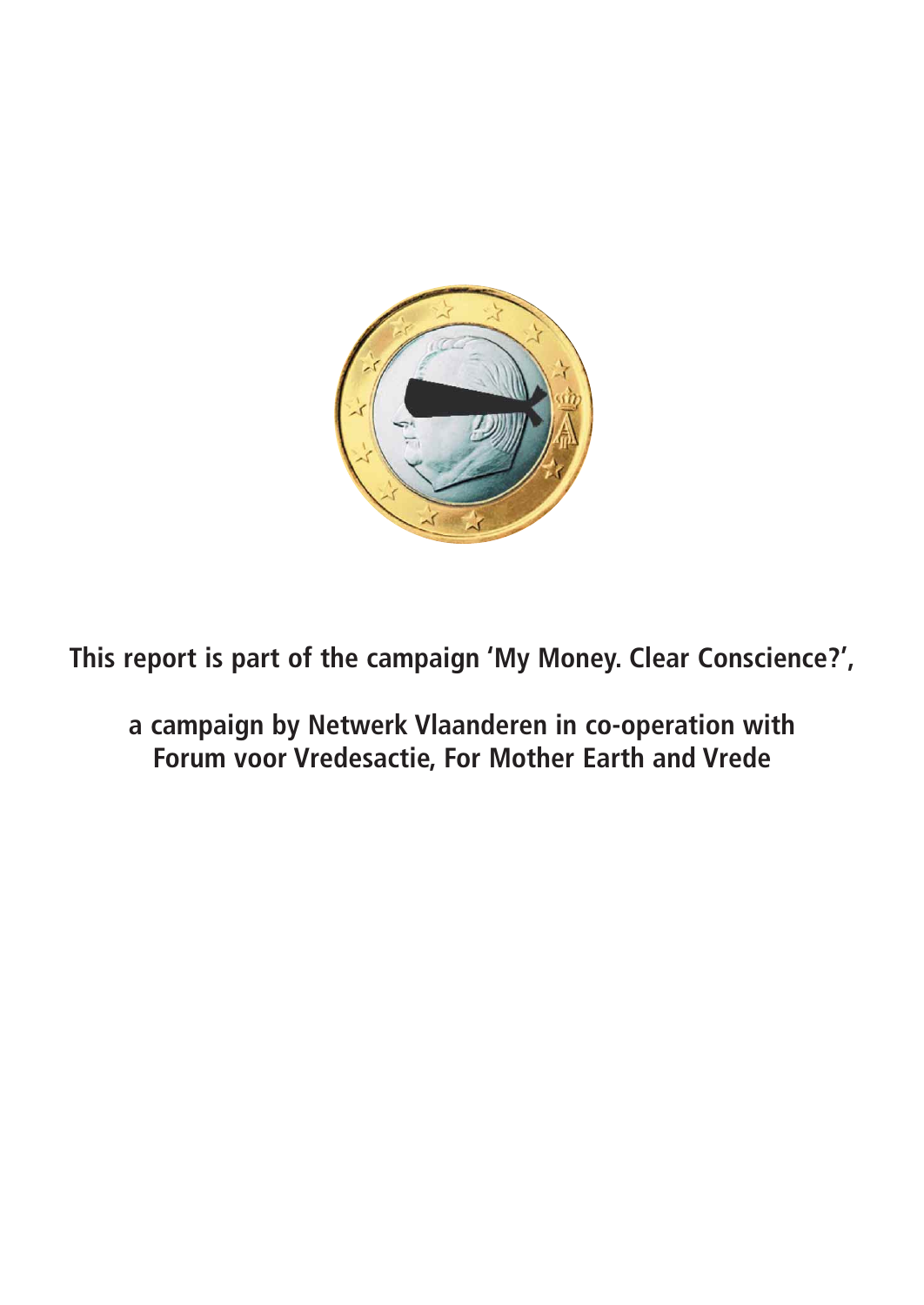

**This report is part of the campaign 'My Money. Clear Conscience?',**

**a campaign by Netwerk Vlaanderen in co-operation with Forum voor Vredesactie, For Mother Earth and Vrede**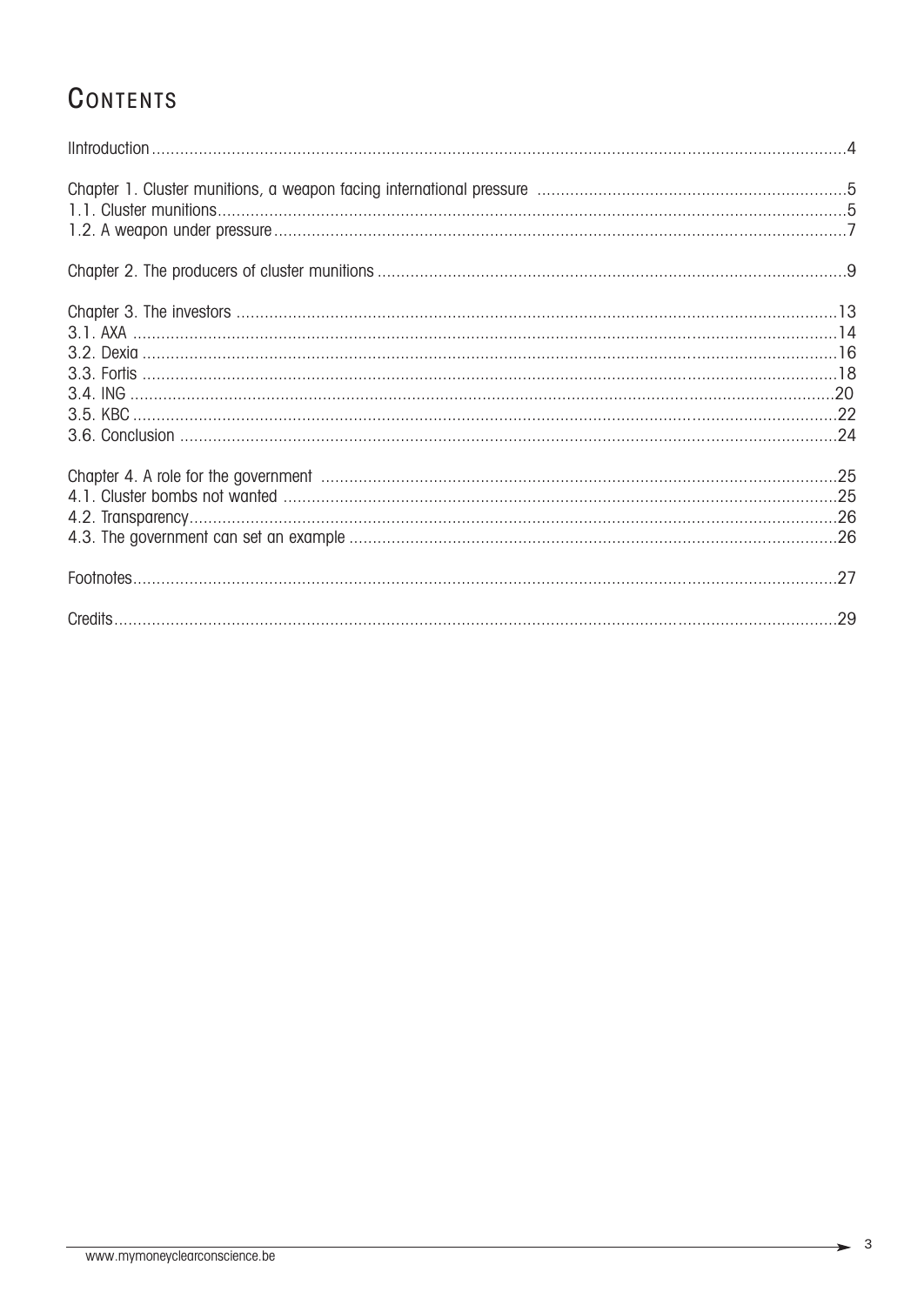## **CONTENTS**

| 27 |
|----|
|    |

 $\rightarrow$  3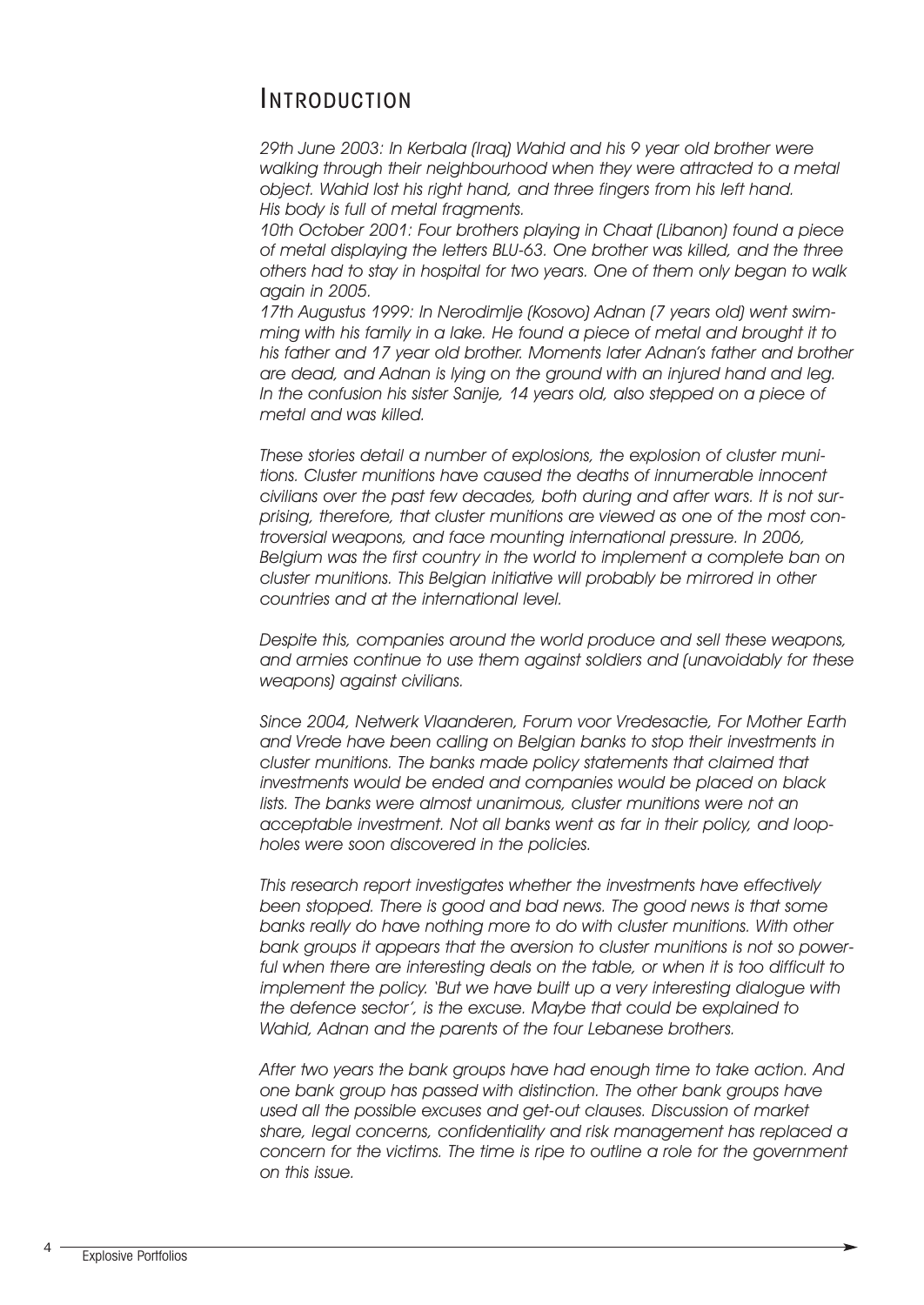### INTRODUCTION

*29th June 2003: In Kerbala (Iraq) Wahid and his 9 year old brother were walking through their neighbourhood when they were attracted to a metal object. Wahid lost his right hand, and three fingers from his left hand. His body is full of metal fragments.* 

*10th October 2001: Four brothers playing in Chaat (Libanon) found a piece of metal displaying the letters BLU-63. One brother was killed, and the three others had to stay in hospital for two years. One of them only began to walk again in 2005.*

*17th Augustus 1999: In Nerodimlje (Kosovo) Adnan (7 years old) went swimming with his family in a lake. He found a piece of metal and brought it to his father and 17 year old brother. Moments later Adnan's father and brother are dead, and Adnan is lying on the ground with an injured hand and leg. In the confusion his sister Sanije, 14 years old, also stepped on a piece of metal and was killed.*

*These stories detail a number of explosions, the explosion of cluster munitions. Cluster munitions have caused the deaths of innumerable innocent civilians over the past few decades, both during and after wars. It is not surprising, therefore, that cluster munitions are viewed as one of the most controversial weapons, and face mounting international pressure. In 2006, Belgium was the first country in the world to implement a complete ban on cluster munitions. This Belgian initiative will probably be mirrored in other countries and at the international level.*

*Despite this, companies around the world produce and sell these weapons, and armies continue to use them against soldiers and (unavoidably for these weapons) against civilians.*

*Since 2004, Netwerk Vlaanderen, Forum voor Vredesactie, For Mother Earth and Vrede have been calling on Belgian banks to stop their investments in cluster munitions. The banks made policy statements that claimed that investments would be ended and companies would be placed on black lists. The banks were almost unanimous, cluster munitions were not an acceptable investment. Not all banks went as far in their policy, and loopholes were soon discovered in the policies.* 

*This research report investigates whether the investments have effectively been stopped. There is good and bad news. The good news is that some banks really do have nothing more to do with cluster munitions. With other bank groups it appears that the aversion to cluster munitions is not so powerful when there are interesting deals on the table, or when it is too difficult to implement the policy. 'But we have built up a very interesting dialogue with the defence sector', is the excuse. Maybe that could be explained to Wahid, Adnan and the parents of the four Lebanese brothers.*

*After two years the bank groups have had enough time to take action. And one bank group has passed with distinction. The other bank groups have used all the possible excuses and get-out clauses. Discussion of market share, legal concerns, confidentiality and risk management has replaced a concern for the victims. The time is ripe to outline a role for the government on this issue.*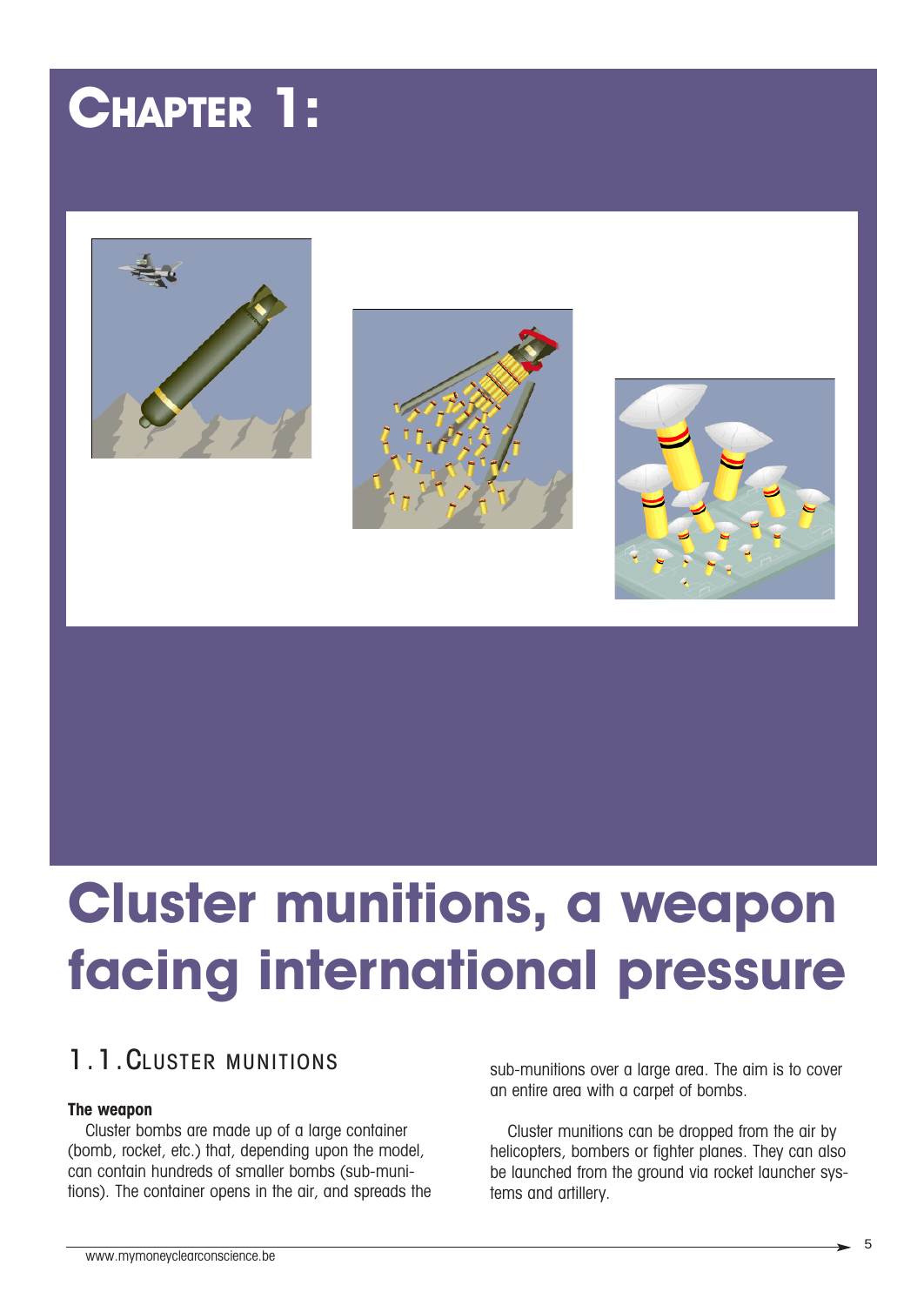## **CHAPTER 1:**







## **Cluster munitions, a weapon facing international pressure**

### 1.1.CLUSTER MUNITIONS

#### **The weapon**

Cluster bombs are made up of a large container (bomb, rocket, etc.) that, depending upon the model, can contain hundreds of smaller bombs (sub-munitions). The container opens in the air, and spreads the sub-munitions over a large area. The aim is to cover an entire area with a carpet of bombs.

Cluster munitions can be dropped from the air by helicopters, bombers or fighter planes. They can also be launched from the ground via rocket launcher systems and artillery.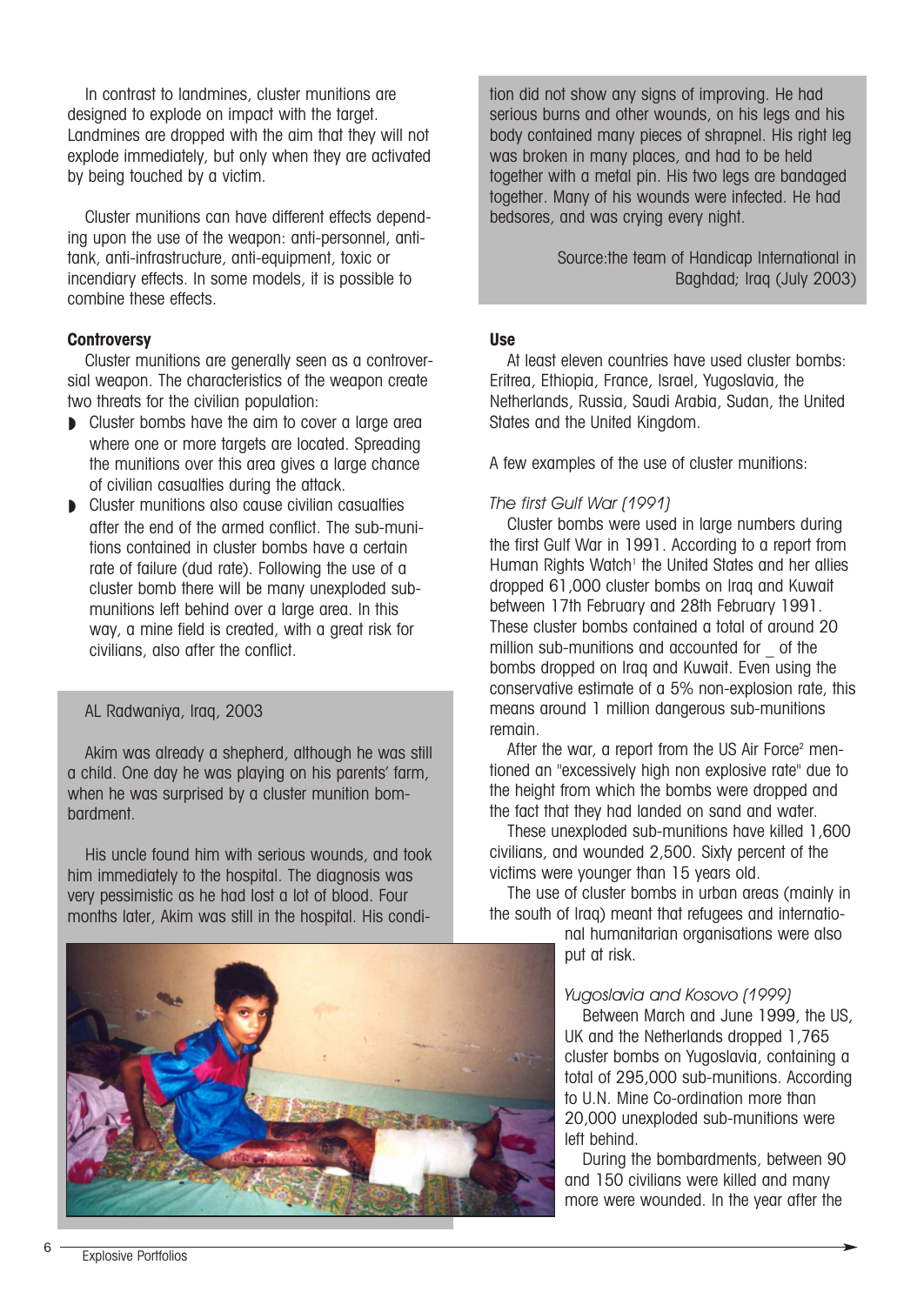In contrast to landmines, cluster munitions are designed to explode on impact with the target. Landmines are dropped with the aim that they will not explode immediately, but only when they are activated by being touched by a victim.

Cluster munitions can have different effects depending upon the use of the weapon: anti-personnel, antitank, anti-infrastructure, anti-equipment, toxic or incendiary effects. In some models, it is possible to combine these effects.

#### **Controversy**

Cluster munitions are generally seen as a controversial weapon. The characteristics of the weapon create two threats for the civilian population:

- Cluster bombs have the aim to cover a large area where one or more targets are located. Spreading the munitions over this area gives a large chance of civilian casualties during the attack.
- ◗ Cluster munitions also cause civilian casualties after the end of the armed conflict. The sub-munitions contained in cluster bombs have a certain rate of failure (dud rate). Following the use of a cluster bomb there will be many unexploded submunitions left behind over a large area. In this way, a mine field is created, with a great risk for civilians, also after the conflict.

#### AL Radwaniya, Iraq, 2003

Akim was already a shepherd, although he was still a child. One day he was playing on his parents' farm, when he was surprised by a cluster munition bombardment.

His uncle found him with serious wounds, and took him immediately to the hospital. The diagnosis was very pessimistic as he had lost a lot of blood. Four months later, Akim was still in the hospital. His condi-



tion did not show any signs of improving. He had serious burns and other wounds, on his legs and his body contained many pieces of shrapnel. His right leg was broken in many places, and had to be held together with a metal pin. His two legs are bandaged together. Many of his wounds were infected. He had bedsores, and was crying every night.

> Source:the team of Handicap International in Baghdad; Iraq (July 2003)

#### **Use**

At least eleven countries have used cluster bombs: Eritrea, Ethiopia, France, Israel, Yugoslavia, the Netherlands, Russia, Saudi Arabia, Sudan, the United States and the United Kingdom.

A few examples of the use of cluster munitions:

#### *The first Gulf War (1991)*

Cluster bombs were used in large numbers during the first Gulf War in 1991. According to a report from Human Rights Watch<sup>1</sup> the United States and her allies dropped 61,000 cluster bombs on Iraq and Kuwait between 17th February and 28th February 1991. These cluster bombs contained a total of around 20 million sub-munitions and accounted for of the bombs dropped on Iraq and Kuwait. Even using the conservative estimate of a 5% non-explosion rate, this means around 1 million dangerous sub-munitions remain.

After the war, a report from the US Air Force<sup>2</sup> mentioned an "excessively high non explosive rate" due to the height from which the bombs were dropped and the fact that they had landed on sand and water.

These unexploded sub-munitions have killed 1,600 civilians, and wounded 2,500. Sixty percent of the victims were younger than 15 years old.

The use of cluster bombs in urban areas (mainly in the south of Iraq) meant that refugees and internatio-

> nal humanitarian organisations were also put at risk.

#### *Yugoslavia and Kosovo (1999)*

Between March and June 1999, the US, UK and the Netherlands dropped 1,765 cluster bombs on Yugoslavia, containing a total of 295,000 sub-munitions. According to U.N. Mine Co-ordination more than 20,000 unexploded sub-munitions were left behind.

During the bombardments, between 90 and 150 civilians were killed and many more were wounded. In the year after the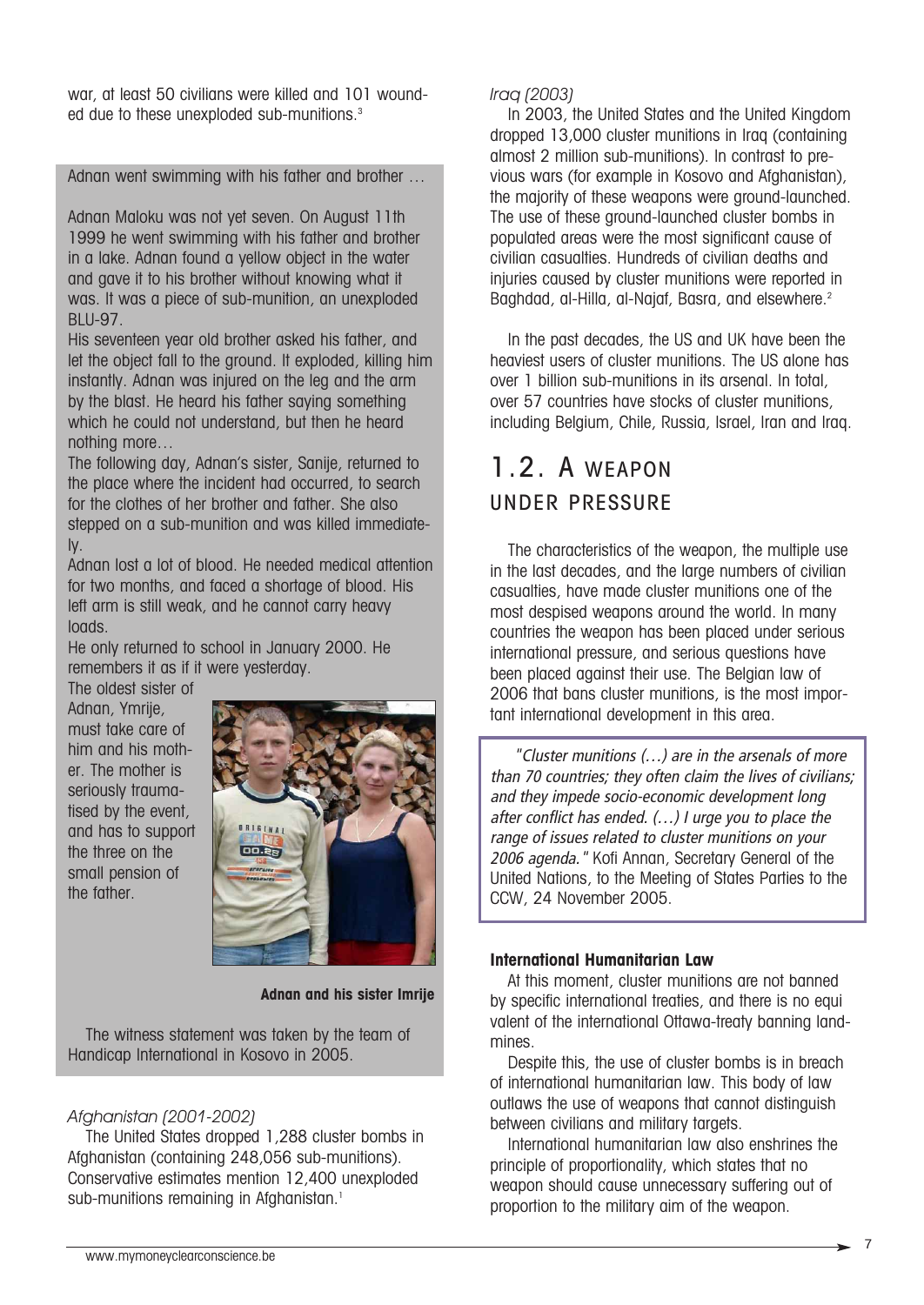war, at least 50 civilians were killed and 101 wounded due to these unexploded sub-munitions.<sup>3</sup>

Adnan went swimming with his father and brother …

Adnan Maloku was not yet seven. On August 11th 1999 he went swimming with his father and brother in a lake. Adnan found a yellow object in the water and gave it to his brother without knowing what it was. It was a piece of sub-munition, an unexploded BLU-97.

His seventeen year old brother asked his father, and let the object fall to the ground. It exploded, killing him instantly. Adnan was injured on the leg and the arm by the blast. He heard his father saying something which he could not understand, but then he heard nothing more…

The following day, Adnan's sister, Sanije, returned to the place where the incident had occurred, to search for the clothes of her brother and father. She also stepped on a sub-munition and was killed immediately.

Adnan lost a lot of blood. He needed medical attention for two months, and faced a shortage of blood. His left arm is still weak, and he cannot carry heavy loads.

He only returned to school in January 2000. He remembers it as if it were yesterday.

The oldest sister of Adnan, Ymrije, must take care of him and his mother. The mother is seriously traumatised by the event, and has to support the three on the small pension of the father.



**Adnan and his sister Imrije**

The witness statement was taken by the team of Handicap International in Kosovo in 2005.

#### *Afghanistan (2001-2002)*

The United States dropped 1,288 cluster bombs in Afghanistan (containing 248,056 sub-munitions). Conservative estimates mention 12,400 unexploded sub-munitions remaining in Afghanistan.<sup>1</sup>

#### *Iraq (2003)*

In 2003, the United States and the United Kingdom dropped 13,000 cluster munitions in Iraq (containing almost 2 million sub-munitions). In contrast to previous wars (for example in Kosovo and Afghanistan), the majority of these weapons were ground-launched. The use of these ground-launched cluster bombs in populated areas were the most significant cause of civilian casualties. Hundreds of civilian deaths and injuries caused by cluster munitions were reported in Baghdad, al-Hilla, al-Najaf, Basra, and elsewhere.<sup>2</sup>

In the past decades, the US and UK have been the heaviest users of cluster munitions. The US alone has over 1 billion sub-munitions in its arsenal. In total, over 57 countries have stocks of cluster munitions, including Belgium, Chile, Russia, Israel, Iran and Iraq.

## 1.2. A WEAPON UNDER PRESSURE

The characteristics of the weapon, the multiple use in the last decades, and the large numbers of civilian casualties, have made cluster munitions one of the most despised weapons around the world. In many countries the weapon has been placed under serious international pressure, and serious questions have been placed against their use. The Belgian law of 2006 that bans cluster munitions, is the most important international development in this area.

"Cluster munitions (…) are in the arsenals of more than 70 countries; they often claim the lives of civilians; and they impede socio-economic development long after conflict has ended. (…) I urge you to place the range of issues related to cluster munitions on your 2006 agenda." Kofi Annan, Secretary General of the United Nations, to the Meeting of States Parties to the CCW, 24 November 2005.

#### **International Humanitarian Law**

At this moment, cluster munitions are not banned by specific international treaties, and there is no equi valent of the international Ottawa-treaty banning landmines.

Despite this, the use of cluster bombs is in breach of international humanitarian law. This body of law outlaws the use of weapons that cannot distinguish between civilians and military targets.

International humanitarian law also enshrines the principle of proportionality, which states that no weapon should cause unnecessary suffering out of proportion to the military aim of the weapon.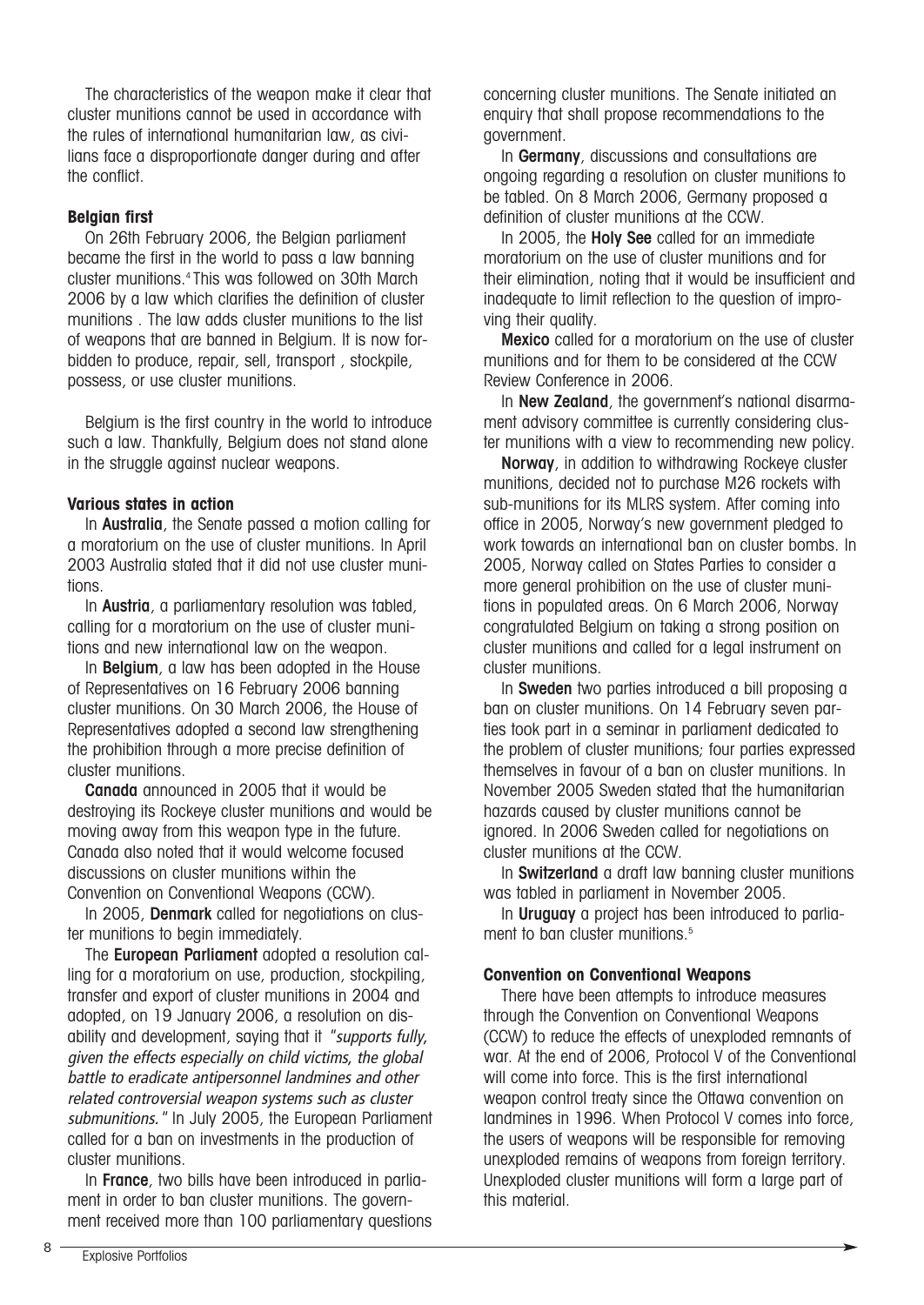The characteristics of the weapon make it clear that cluster munitions cannot be used in accordance with the rules of international humanitarian law, as civilians face a disproportionate danger during and after the conflict.

#### **Belgian first**

On 26th February 2006, the Belgian parliament became the first in the world to pass a law banning cluster munitions.4 This was followed on 30th March 2006 by a law which clarifies the definition of cluster munitions . The law adds cluster munitions to the list of weapons that are banned in Belgium. It is now forbidden to produce, repair, sell, transport , stockpile, possess, or use cluster munitions.

Belgium is the first country in the world to introduce such a law. Thankfully, Belgium does not stand alone in the struggle against nuclear weapons.

#### **Various states in action**

In Australia, the Senate passed a motion calling for a moratorium on the use of cluster munitions. In April 2003 Australia stated that it did not use cluster munitions.

In Austria, a parliamentary resolution was tabled, calling for a moratorium on the use of cluster munitions and new international law on the weapon.

In Belgium, a law has been adopted in the House of Representatives on 16 February 2006 banning cluster munitions. On 30 March 2006, the House of Representatives adopted a second law strengthening the prohibition through a more precise definition of cluster munitions.

Canada announced in 2005 that it would be destroying its Rockeye cluster munitions and would be moving away from this weapon type in the future. Canada also noted that it would welcome focused discussions on cluster munitions within the Convention on Conventional Weapons (CCW).

In 2005, **Denmark** called for negotiations on cluster munitions to begin immediately.

The European Parliament adopted a resolution calling for a moratorium on use, production, stockpiling, transfer and export of cluster munitions in 2004 and adopted, on 19 January 2006, a resolution on disability and development, saying that it "supports fully, given the effects especially on child victims, the global battle to eradicate antipersonnel landmines and other related controversial weapon systems such as cluster submunitions." In July 2005, the European Parliament called for a ban on investments in the production of cluster munitions.

In France, two bills have been introduced in parliament in order to ban cluster munitions. The government received more than 100 parliamentary questions concerning cluster munitions. The Senate initiated an enquiry that shall propose recommendations to the government.

In Germany, discussions and consultations are ongoing regarding a resolution on cluster munitions to be tabled. On 8 March 2006, Germany proposed a definition of cluster munitions at the CCW.

In 2005, the **Holy See** called for an immediate moratorium on the use of cluster munitions and for their elimination, noting that it would be insufficient and inadequate to limit reflection to the question of improving their quality.

Mexico called for a moratorium on the use of cluster munitions and for them to be considered at the CCW Review Conference in 2006.

In **New Zealand**, the government's national disarmament advisory committee is currently considering cluster munitions with a view to recommending new policy.

Norway, in addition to withdrawing Rockeye cluster munitions, decided not to purchase M26 rockets with sub-munitions for its MLRS system. After coming into office in 2005, Norway's new government pledged to work towards an international ban on cluster bombs. In 2005, Norway called on States Parties to consider a more general prohibition on the use of cluster munitions in populated areas. On 6 March 2006, Norway congratulated Belgium on taking a strong position on cluster munitions and called for a legal instrument on cluster munitions.

In Sweden two parties introduced a bill proposing a ban on cluster munitions. On 14 February seven parties took part in a seminar in parliament dedicated to the problem of cluster munitions; four parties expressed themselves in favour of a ban on cluster munitions. In November 2005 Sweden stated that the humanitarian hazards caused by cluster munitions cannot be ignored. In 2006 Sweden called for negotiations on cluster munitions at the CCW.

In Switzerland a draft law banning cluster munitions was tabled in parliament in November 2005.

In **Uruguay** a project has been introduced to parliament to ban cluster munitions.<sup>5</sup>

#### **Convention on Conventional Weapons**

There have been attempts to introduce measures through the Convention on Conventional Weapons (CCW) to reduce the effects of unexploded remnants of war. At the end of 2006, Protocol V of the Conventional will come into force. This is the first international weapon control treaty since the Ottawa convention on landmines in 1996. When Protocol V comes into force, the users of weapons will be responsible for removing unexploded remains of weapons from foreign territory. Unexploded cluster munitions will form a large part of this material.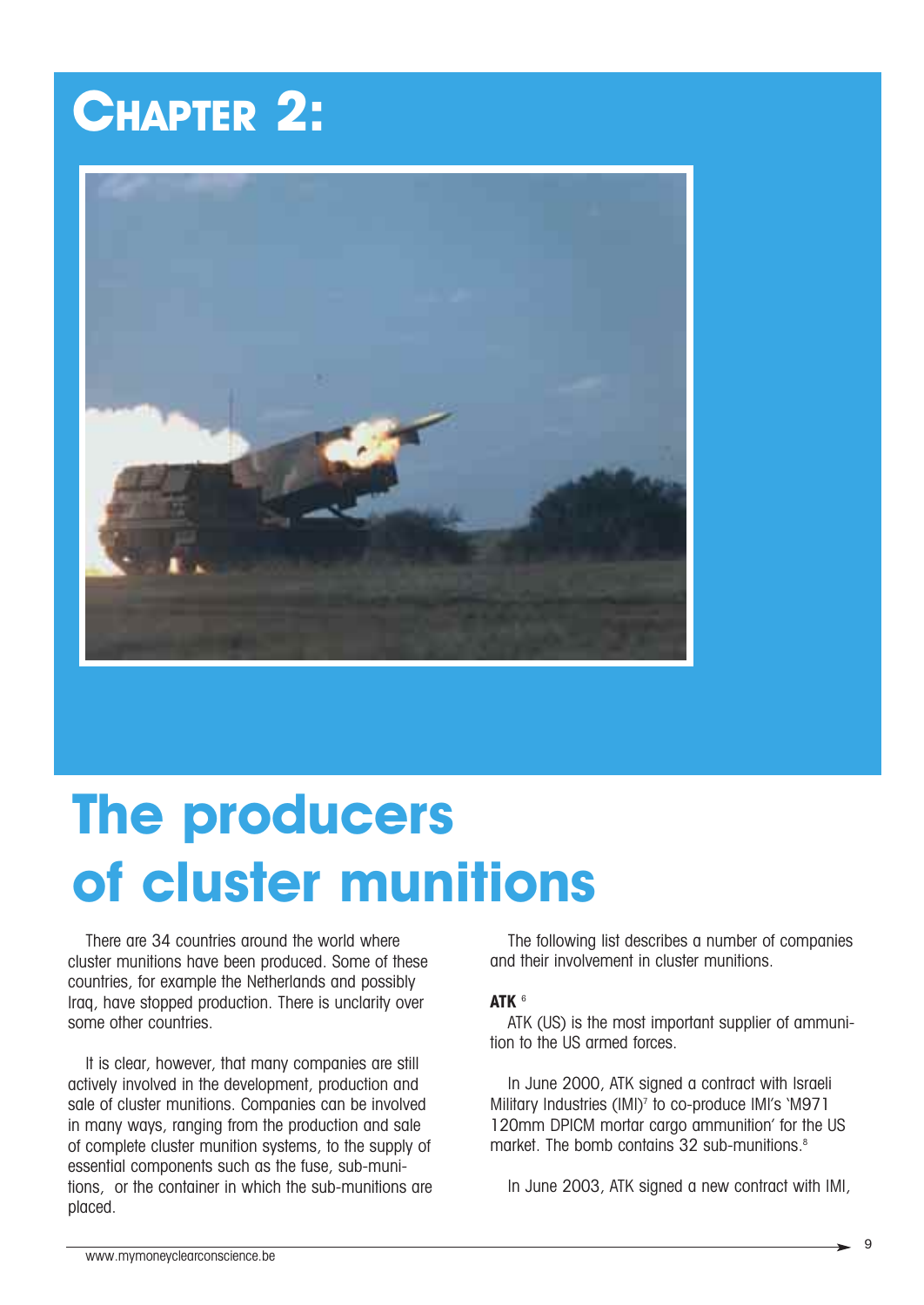## **CHAPTER 2:**



## **The producers of cluster munitions**

There are 34 countries around the world where cluster munitions have been produced. Some of these countries, for example the Netherlands and possibly Iraq, have stopped production. There is unclarity over some other countries.

It is clear, however, that many companies are still actively involved in the development, production and sale of cluster munitions. Companies can be involved in many ways, ranging from the production and sale of complete cluster munition systems, to the supply of essential components such as the fuse, sub-munitions, or the container in which the sub-munitions are placed.

The following list describes a number of companies and their involvement in cluster munitions.

#### **ATK** <sup>6</sup>

ATK (US) is the most important supplier of ammunition to the US armed forces.

In June 2000, ATK signed a contract with Israeli Military Industries (IMI)<sup>7</sup> to co-produce IMI's 'M971 120mm DPICM mortar cargo ammunition' for the US market. The bomb contains 32 sub-munitions.<sup>8</sup>

In June 2003, ATK signed a new contract with IMI,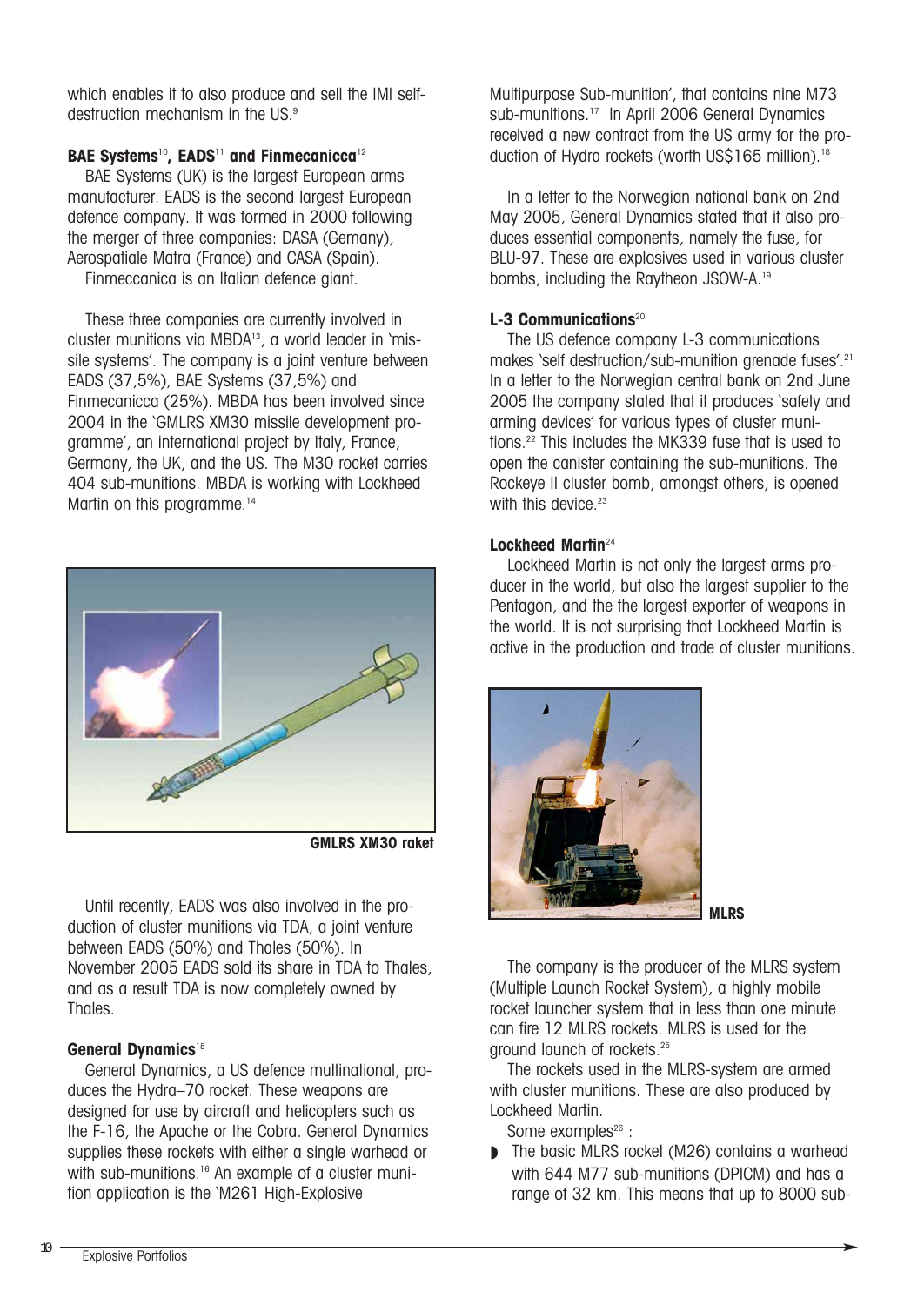which enables it to also produce and sell the IMI selfdestruction mechanism in the US.<sup>9</sup>

#### **BAE Systems**10**, EADS**<sup>11</sup> **and Finmecanicca**<sup>12</sup>

BAE Systems (UK) is the largest European arms manufacturer. EADS is the second largest European defence company. It was formed in 2000 following the merger of three companies: DASA (Gemany), Aerospatiale Matra (France) and CASA (Spain).

Finmeccanica is an Italian defence giant.

These three companies are currently involved in cluster munitions via MBDA13, a world leader in 'missile systems'. The company is a joint venture between EADS (37,5%), BAE Systems (37,5%) and Finmecanicca (25%). MBDA has been involved since 2004 in the 'GMLRS XM30 missile development programme', an international project by Italy, France, Germany, the UK, and the US. The M30 rocket carries 404 sub-munitions. MBDA is working with Lockheed Martin on this programme.<sup>14</sup>



**GMLRS XM30 raket**

Until recently, EADS was also involved in the production of cluster munitions via TDA, a joint venture between EADS (50%) and Thales (50%). In November 2005 EADS sold its share in TDA to Thales, and as a result TDA is now completely owned by Thales.

#### **General Dynamics**<sup>15</sup>

General Dynamics, a US defence multinational, produces the Hydra–70 rocket. These weapons are designed for use by aircraft and helicopters such as the F-16, the Apache or the Cobra. General Dynamics supplies these rockets with either a single warhead or with sub-munitions.<sup>16</sup> An example of a cluster munition application is the 'M261 High-Explosive

Multipurpose Sub-munition', that contains nine M73 sub-munitions.<sup>17</sup> In April 2006 General Dynamics received a new contract from the US army for the production of Hydra rockets (worth US\$165 million).<sup>18</sup>

In a letter to the Norwegian national bank on 2nd May 2005, General Dynamics stated that it also produces essential components, namely the fuse, for BLU-97. These are explosives used in various cluster bombs, including the Raytheon JSOW-A.19

#### **L-3 Communications**<sup>20</sup>

The US defence company L-3 communications makes 'self destruction/sub-munition grenade fuses'.21 In a letter to the Norwegian central bank on 2nd June 2005 the company stated that it produces 'safety and arming devices' for various types of cluster munitions.22 This includes the MK339 fuse that is used to open the canister containing the sub-munitions. The Rockeye II cluster bomb, amongst others, is opened with this device. $23$ 

#### **Lockheed Martin**<sup>24</sup>

Lockheed Martin is not only the largest arms producer in the world, but also the largest supplier to the Pentagon, and the the largest exporter of weapons in the world. It is not surprising that Lockheed Martin is active in the production and trade of cluster munitions.



The company is the producer of the MLRS system (Multiple Launch Rocket System), a highly mobile rocket launcher system that in less than one minute can fire 12 MLRS rockets. MLRS is used for the ground launch of rockets.25

The rockets used in the MLRS-system are armed with cluster munitions. These are also produced by Lockheed Martin.

Some examples $^{26}$  :

■ The basic MLRS rocket (M26) contains a warhead with 644 M77 sub-munitions (DPICM) and has a range of 32 km. This means that up to 8000 sub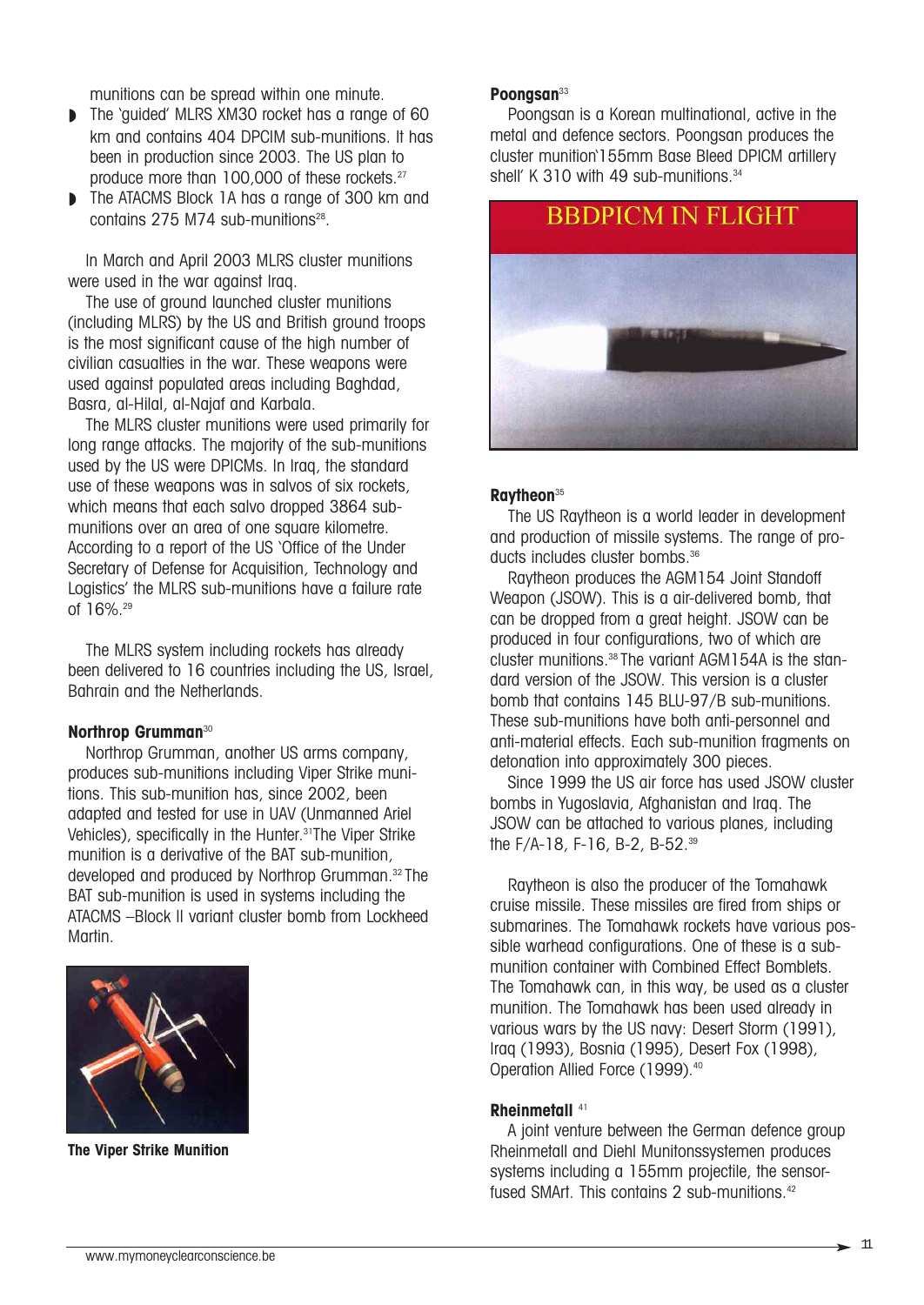munitions can be spread within one minute.

- The 'quided' MLRS XM30 rocket has a range of 60 km and contains 404 DPCIM sub-munitions. It has been in production since 2003. The US plan to produce more than 100,000 of these rockets.27
- The ATACMS Block 1A has a range of 300 km and contains  $275$  M74 sub-munitions<sup>28</sup>.

In March and April 2003 MLRS cluster munitions were used in the war against Iraq.

The use of ground launched cluster munitions (including MLRS) by the US and British ground troops is the most significant cause of the high number of civilian casualties in the war. These weapons were used against populated areas including Baghdad, Basra, al-Hilal, al-Najaf and Karbala.

The MLRS cluster munitions were used primarily for long range attacks. The majority of the sub-munitions used by the US were DPICMs. In Iraq, the standard use of these weapons was in salvos of six rockets, which means that each salvo dropped 3864 submunitions over an area of one square kilometre. According to a report of the US 'Office of the Under Secretary of Defense for Acquisition, Technology and Logistics' the MLRS sub-munitions have a failure rate of 16%.29

The MLRS system including rockets has already been delivered to 16 countries including the US, Israel, Bahrain and the Netherlands.

#### **Northrop Grumman**<sup>30</sup>

Northrop Grumman, another US arms company, produces sub-munitions including Viper Strike munitions. This sub-munition has, since 2002, been adapted and tested for use in UAV (Unmanned Ariel Vehicles), specifically in the Hunter.<sup>31</sup>The Viper Strike munition is a derivative of the BAT sub-munition, developed and produced by Northrop Grumman.32 The BAT sub-munition is used in systems including the ATACMS –Block II variant cluster bomb from Lockheed Martin.



**The Viper Strike Munition**

#### **Poongsan**<sup>33</sup>

Poongsan is a Korean multinational, active in the metal and defence sectors. Poongsan produces the cluster munition'155mm Base Bleed DPICM artillery shell' K 310 with 49 sub-munitions.<sup>34</sup>



#### **Raytheon**<sup>35</sup>

The US Raytheon is a world leader in development and production of missile systems. The range of products includes cluster bombs.<sup>36</sup>

Raytheon produces the AGM154 Joint Standoff Weapon (JSOW). This is a air-delivered bomb, that can be dropped from a great height. JSOW can be produced in four configurations, two of which are cluster munitions.38 The variant AGM154A is the standard version of the JSOW. This version is a cluster bomb that contains 145 BLU-97/B sub-munitions. These sub-munitions have both anti-personnel and anti-material effects. Each sub-munition fragments on detonation into approximately 300 pieces.

Since 1999 the US air force has used JSOW cluster bombs in Yugoslavia, Afghanistan and Iraq. The JSOW can be attached to various planes, including the F/A-18, F-16, B-2, B-52.39

Raytheon is also the producer of the Tomahawk cruise missile. These missiles are fired from ships or submarines. The Tomahawk rockets have various possible warhead configurations. One of these is a submunition container with Combined Effect Bomblets. The Tomahawk can, in this way, be used as a cluster munition. The Tomahawk has been used already in various wars by the US navy: Desert Storm (1991), Iraq (1993), Bosnia (1995), Desert Fox (1998), Operation Allied Force (1999).<sup>40</sup>

#### **Rheinmetall** <sup>41</sup>

A joint venture between the German defence group Rheinmetall and Diehl Munitonssystemen produces systems including a 155mm projectile, the sensorfused SMArt. This contains 2 sub-munitions.<sup>42</sup>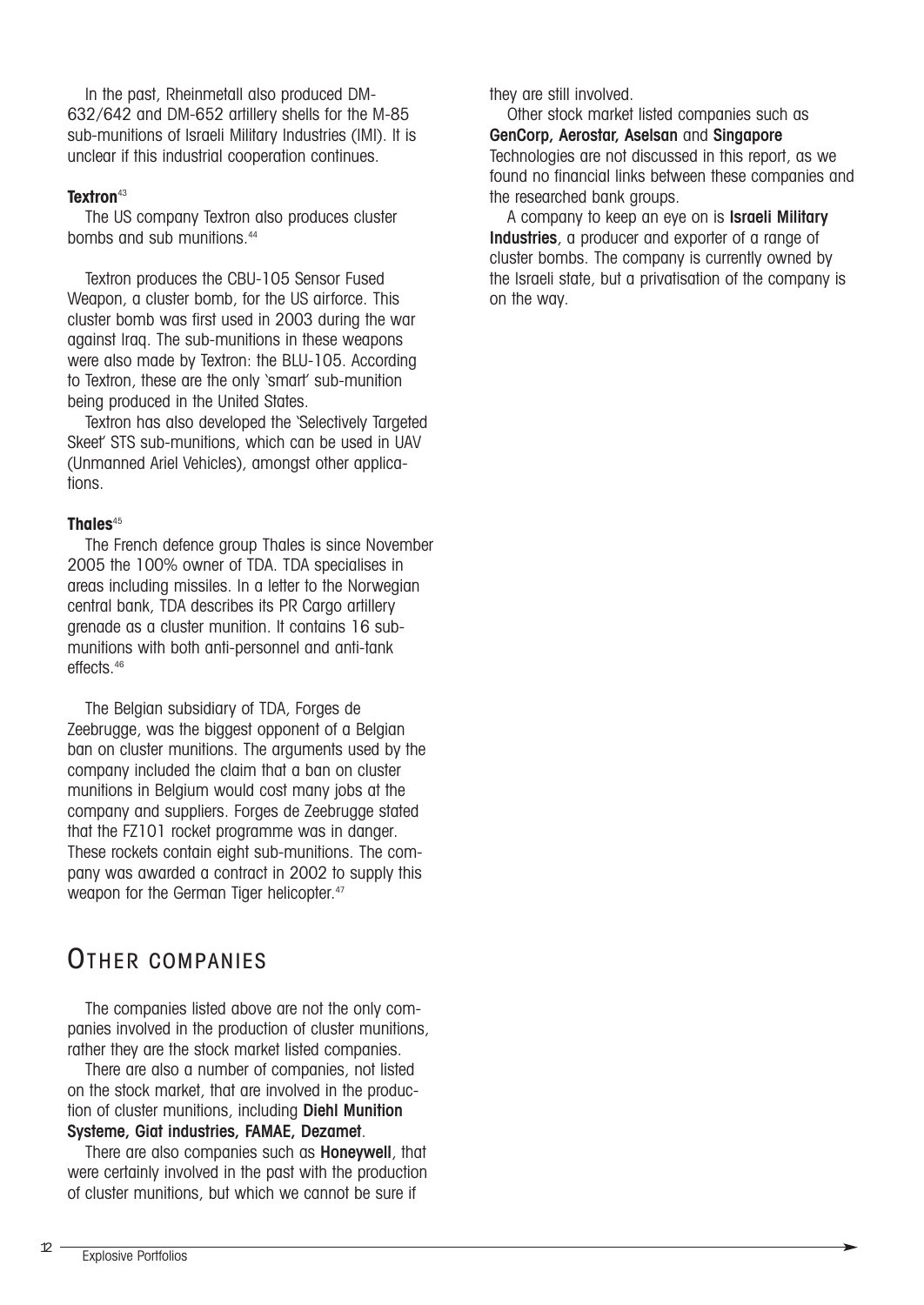In the past, Rheinmetall also produced DM-632/642 and DM-652 artillery shells for the M-85 sub-munitions of Israeli Military Industries (IMI). It is unclear if this industrial cooperation continues.

#### **Textron**<sup>43</sup>

The US company Textron also produces cluster bombs and sub munitions.<sup>44</sup>

Textron produces the CBU-105 Sensor Fused Weapon, a cluster bomb, for the US airforce. This cluster bomb was first used in 2003 during the war against Iraq. The sub-munitions in these weapons were also made by Textron: the BLU-105. According to Textron, these are the only 'smart' sub-munition being produced in the United States.

Textron has also developed the 'Selectively Targeted Skeet' STS sub-munitions, which can be used in UAV (Unmanned Ariel Vehicles), amongst other applications.

#### **Thales**<sup>45</sup>

The French defence group Thales is since November 2005 the 100% owner of TDA. TDA specialises in areas including missiles. In a letter to the Norwegian central bank, TDA describes its PR Cargo artillery grenade as a cluster munition. It contains 16 submunitions with both anti-personnel and anti-tank effects<sup>46</sup>

The Belgian subsidiary of TDA, Forges de Zeebrugge, was the biggest opponent of a Belgian ban on cluster munitions. The arguments used by the company included the claim that a ban on cluster munitions in Belgium would cost many jobs at the company and suppliers. Forges de Zeebrugge stated that the FZ101 rocket programme was in danger. These rockets contain eight sub-munitions. The company was awarded a contract in 2002 to supply this weapon for the German Tiger helicopter.<sup>47</sup>

### OTHER COMPANIES

The companies listed above are not the only companies involved in the production of cluster munitions, rather they are the stock market listed companies.

There are also a number of companies, not listed on the stock market, that are involved in the production of cluster munitions, including Diehl Munition Systeme, Giat industries, FAMAE, Dezamet.

There are also companies such as **Honeywell**, that were certainly involved in the past with the production of cluster munitions, but which we cannot be sure if

they are still involved.

Other stock market listed companies such as GenCorp, Aerostar, Aselsan and Singapore Technologies are not discussed in this report, as we found no financial links between these companies and the researched bank groups.

A company to keep an eye on is Israeli Military Industries, a producer and exporter of a range of cluster bombs. The company is currently owned by the Israeli state, but a privatisation of the company is on the way.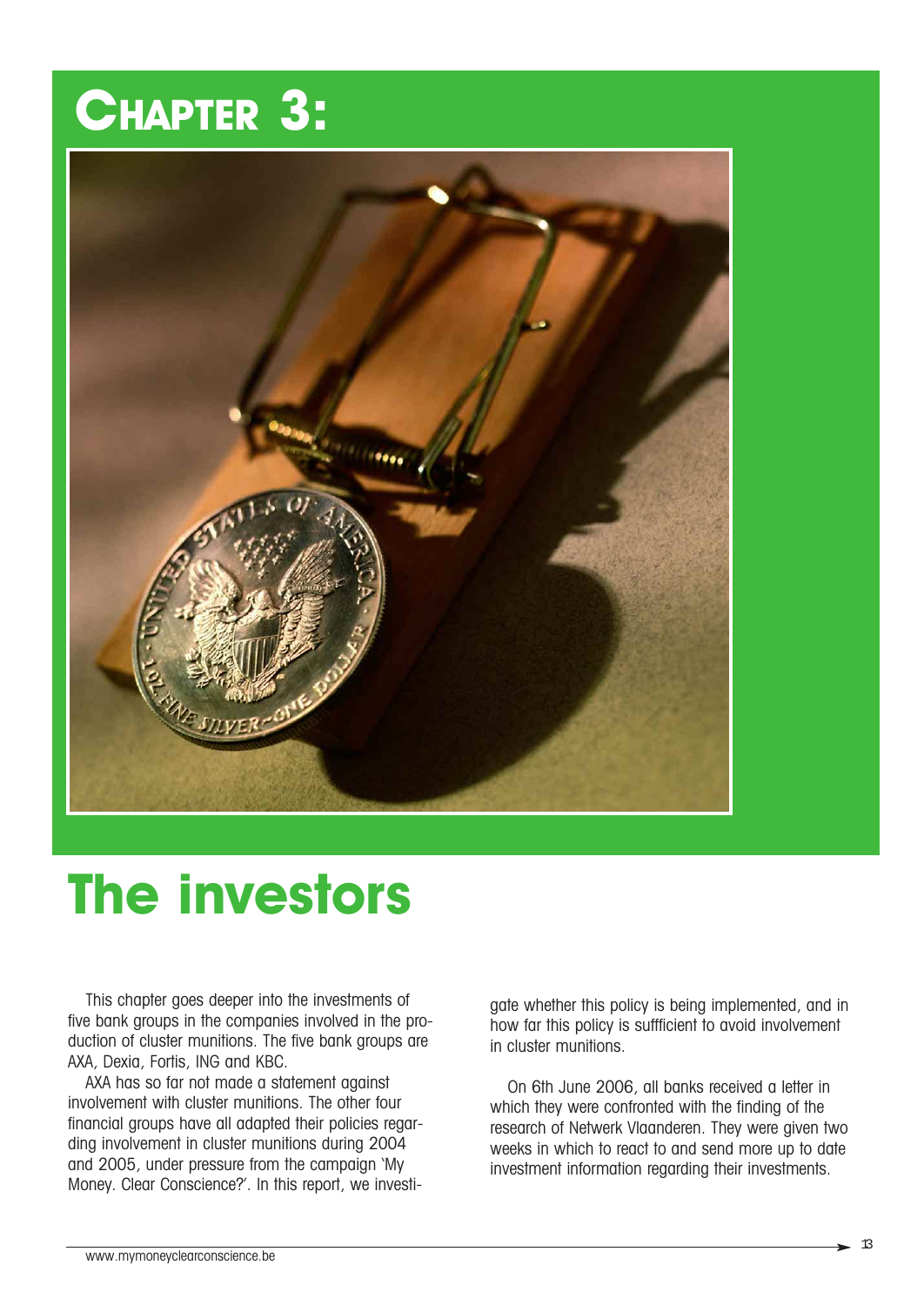## **CHAPTER 3:**



## **The investors**

This chapter goes deeper into the investments of five bank groups in the companies involved in the production of cluster munitions. The five bank groups are AXA, Dexia, Fortis, ING and KBC.

AXA has so far not made a statement against involvement with cluster munitions. The other four financial groups have all adapted their policies regarding involvement in cluster munitions during 2004 and 2005, under pressure from the campaign 'My Money. Clear Conscience?'. In this report, we investigate whether this policy is being implemented, and in how far this policy is suffficient to avoid involvement in cluster munitions.

On 6th June 2006, all banks received a letter in which they were confronted with the finding of the research of Netwerk Vlaanderen. They were given two weeks in which to react to and send more up to date investment information regarding their investments.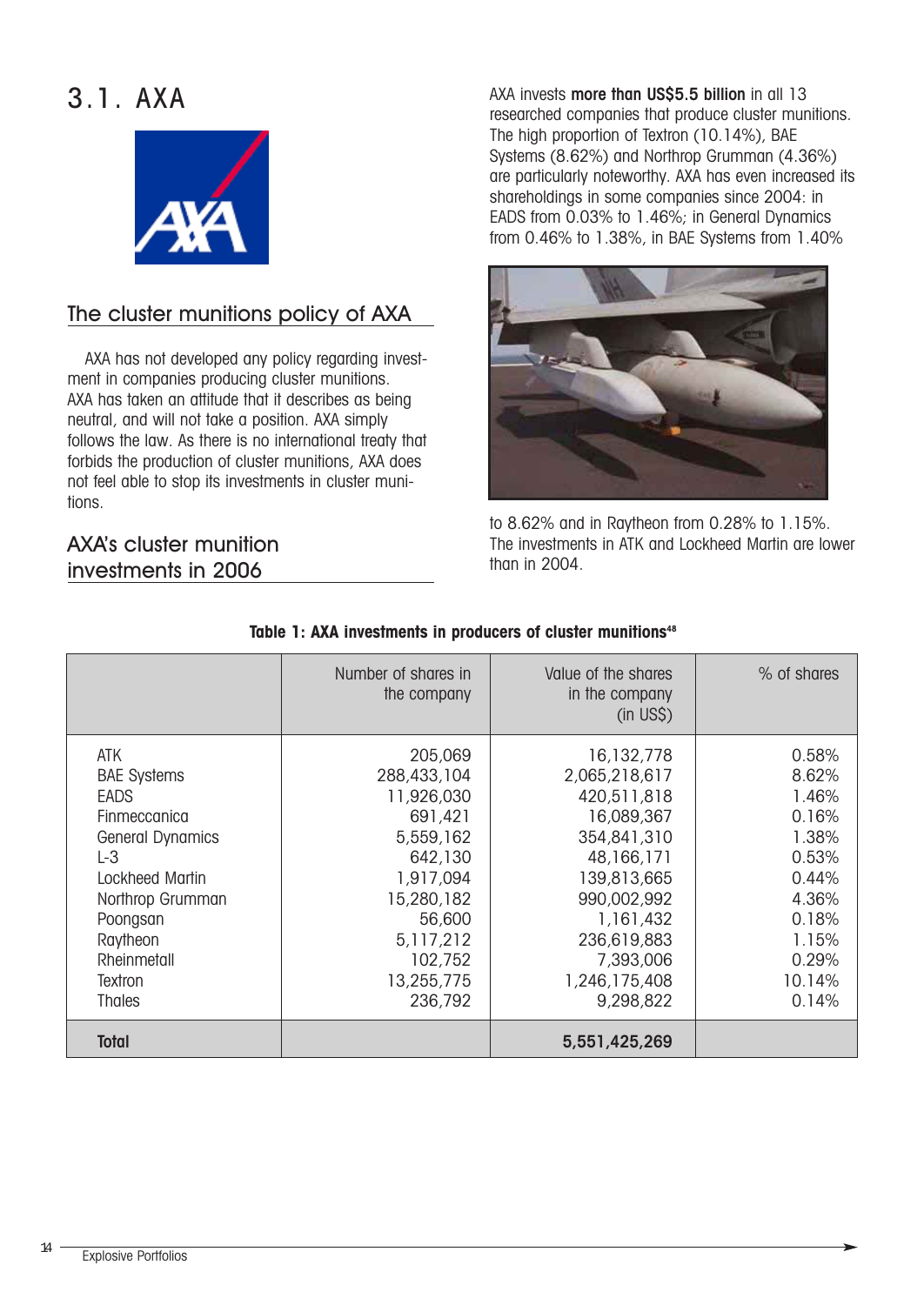### 3.1. AXA



#### The cluster munitions policy of AXA

AXA has not developed any policy regarding investment in companies producing cluster munitions. AXA has taken an attitude that it describes as being neutral, and will not take a position. AXA simply follows the law. As there is no international treaty that forbids the production of cluster munitions, AXA does not feel able to stop its investments in cluster munitions.

#### AXA's cluster munition investments in 2006

AXA invests more than US\$5.5 billion in all 13 researched companies that produce cluster munitions. The high proportion of Textron (10.14%), BAE Systems (8.62%) and Northrop Grumman (4.36%) are particularly noteworthy. AXA has even increased its shareholdings in some companies since 2004: in EADS from 0.03% to 1.46%; in General Dynamics from 0.46% to 1.38%, in BAE Systems from 1.40%



to 8.62% and in Raytheon from 0.28% to 1.15%. The investments in ATK and Lockheed Martin are lower than in 2004.

|                                                                                                                                                                                                        | Number of shares in<br>the company                                                                                                                            | Value of the shares<br>in the company<br>$(in$ US\$ $)$                                                                                                                                    | % of shares                                                                                                        |
|--------------------------------------------------------------------------------------------------------------------------------------------------------------------------------------------------------|---------------------------------------------------------------------------------------------------------------------------------------------------------------|--------------------------------------------------------------------------------------------------------------------------------------------------------------------------------------------|--------------------------------------------------------------------------------------------------------------------|
| ATK<br><b>BAE Systems</b><br><b>EADS</b><br>Finmeccanica<br><b>General Dynamics</b><br>$L-3$<br>Lockheed Martin<br>Northrop Grumman<br>Poongsan<br>Raytheon<br>Rheinmetall<br>Textron<br><b>Thales</b> | 205,069<br>288,433,104<br>11,926,030<br>691,421<br>5,559,162<br>642,130<br>1,917,094<br>15,280,182<br>56,600<br>5,117,212<br>102,752<br>13,255,775<br>236,792 | 16,132,778<br>2,065,218,617<br>420,511,818<br>16,089,367<br>354,841,310<br>48,166,171<br>139,813,665<br>990,002,992<br>1,161,432<br>236,619,883<br>7,393,006<br>1,246,175,408<br>9,298,822 | 0.58%<br>8.62%<br>1.46%<br>0.16%<br>1.38%<br>0.53%<br>0.44%<br>4.36%<br>0.18%<br>1.15%<br>0.29%<br>10.14%<br>0.14% |
| Total                                                                                                                                                                                                  |                                                                                                                                                               | 5,551,425,269                                                                                                                                                                              |                                                                                                                    |

#### Table 1: AXA investments in producers of cluster munitions<sup>48</sup>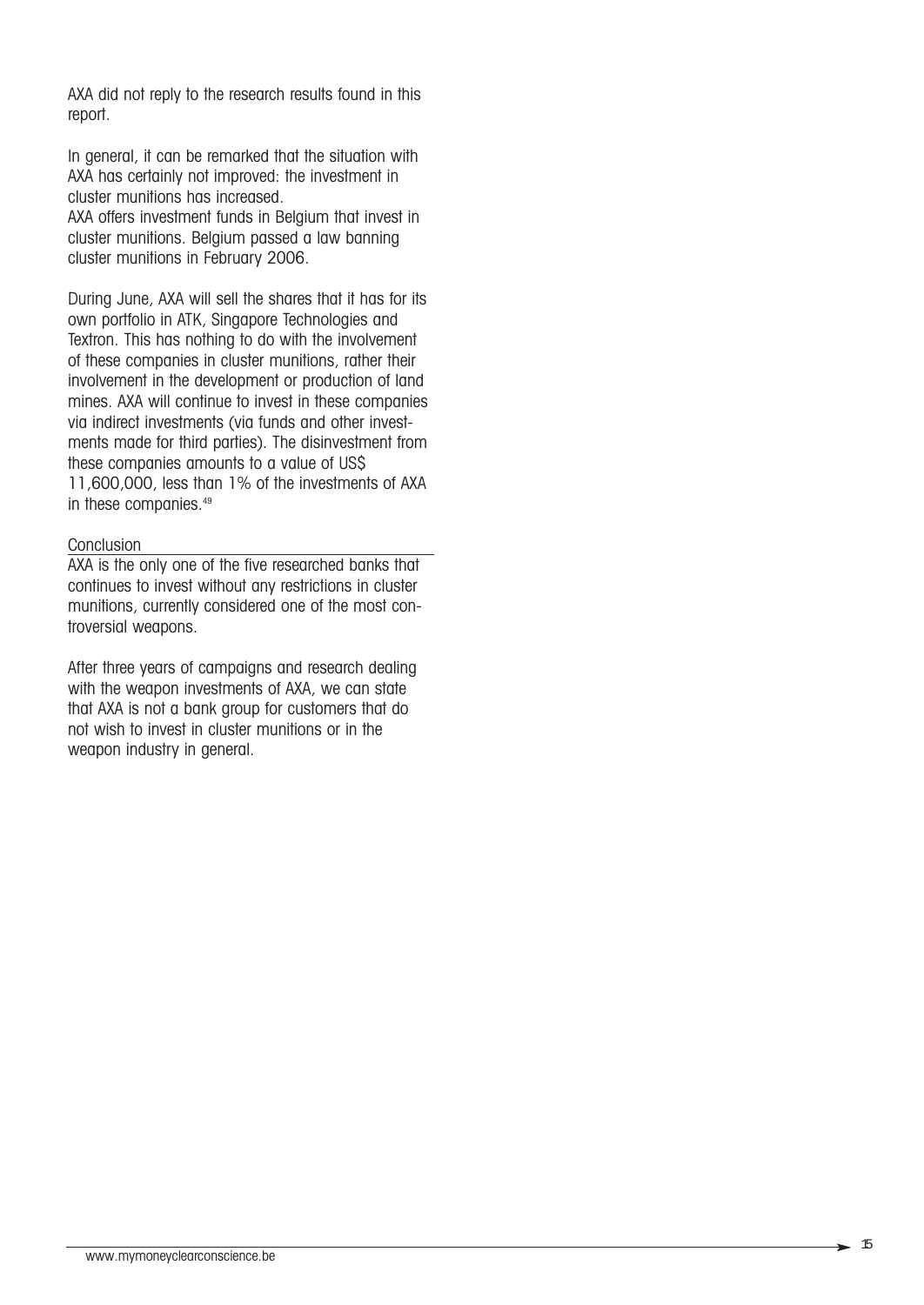AXA did not reply to the research results found in this report.

In general, it can be remarked that the situation with AXA has certainly not improved: the investment in cluster munitions has increased.

AXA offers investment funds in Belgium that invest in cluster munitions. Belgium passed a law banning cluster munitions in February 2006.

During June, AXA will sell the shares that it has for its own portfolio in ATK, Singapore Technologies and Textron. This has nothing to do with the involvement of these companies in cluster munitions, rather their involvement in the development or production of land mines. AXA will continue to invest in these companies via indirect investments (via funds and other investments made for third parties). The disinvestment from these companies amounts to a value of US\$ 11,600,000, less than 1% of the investments of AXA in these companies.<sup>49</sup>

#### **Conclusion**

AXA is the only one of the five researched banks that continues to invest without any restrictions in cluster munitions, currently considered one of the most controversial weapons.

After three years of campaigns and research dealing with the weapon investments of AXA, we can state that AXA is not a bank group for customers that do not wish to invest in cluster munitions or in the weapon industry in general.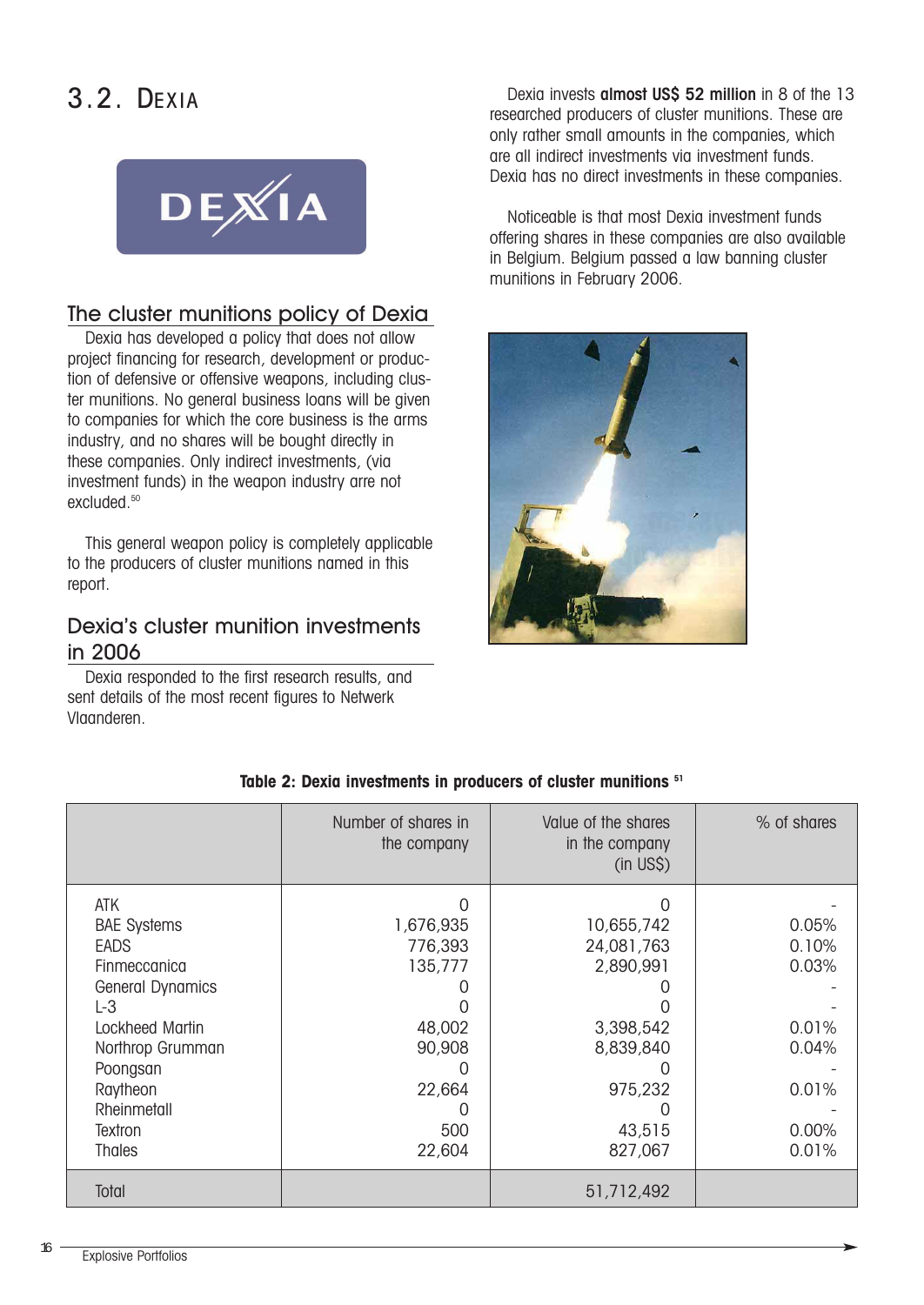### 3.2. DEXIA



#### The cluster munitions policy of Dexia

Dexia has developed a policy that does not allow project financing for research, development or production of defensive or offensive weapons, including cluster munitions. No general business loans will be given to companies for which the core business is the arms industry, and no shares will be bought directly in these companies. Only indirect investments, (via investment funds) in the weapon industry arre not excluded.<sup>50</sup>

This general weapon policy is completely applicable to the producers of cluster munitions named in this report.

#### Dexia's cluster munition investments in 2006

Dexia responded to the first research results, and sent details of the most recent figures to Netwerk Vlaanderen.

Dexia invests almost US\$ 52 million in 8 of the 13 researched producers of cluster munitions. These are only rather small amounts in the companies, which are all indirect investments via investment funds. Dexia has no direct investments in these companies.

Noticeable is that most Dexia investment funds offering shares in these companies are also available in Belgium. Belgium passed a law banning cluster munitions in February 2006.



# the company letter that the company (in US\$)

#### **Table 2: Dexia investments in producers of cluster munitions 51**

|                                                                                                                 | Number of shares in<br>the company             | Value of the shares<br>in the company<br>$(in \; US\$ )        | % of shares                      |
|-----------------------------------------------------------------------------------------------------------------|------------------------------------------------|----------------------------------------------------------------|----------------------------------|
| ATK<br><b>BAE Systems</b><br><b>EADS</b><br>Finmeccanica<br><b>General Dynamics</b><br>$L-3$<br>Lockheed Martin | O<br>1,676,935<br>776,393<br>135,777<br>48,002 | $\Omega$<br>10,655,742<br>24,081,763<br>2,890,991<br>3,398,542 | 0.05%<br>0.10%<br>0.03%<br>0.01% |
| Northrop Grumman                                                                                                | 90,908                                         | 8,839,840                                                      | 0.04%                            |
| Poongsan<br>Raytheon<br>Rheinmetall<br>Textron                                                                  | 22,664<br>500                                  | $\left( \right)$<br>975,232<br>43,515                          | 0.01%<br>0.00%                   |
| <b>Thales</b>                                                                                                   | 22,604                                         | 827,067                                                        | 0.01%                            |
| Total                                                                                                           |                                                | 51,712,492                                                     |                                  |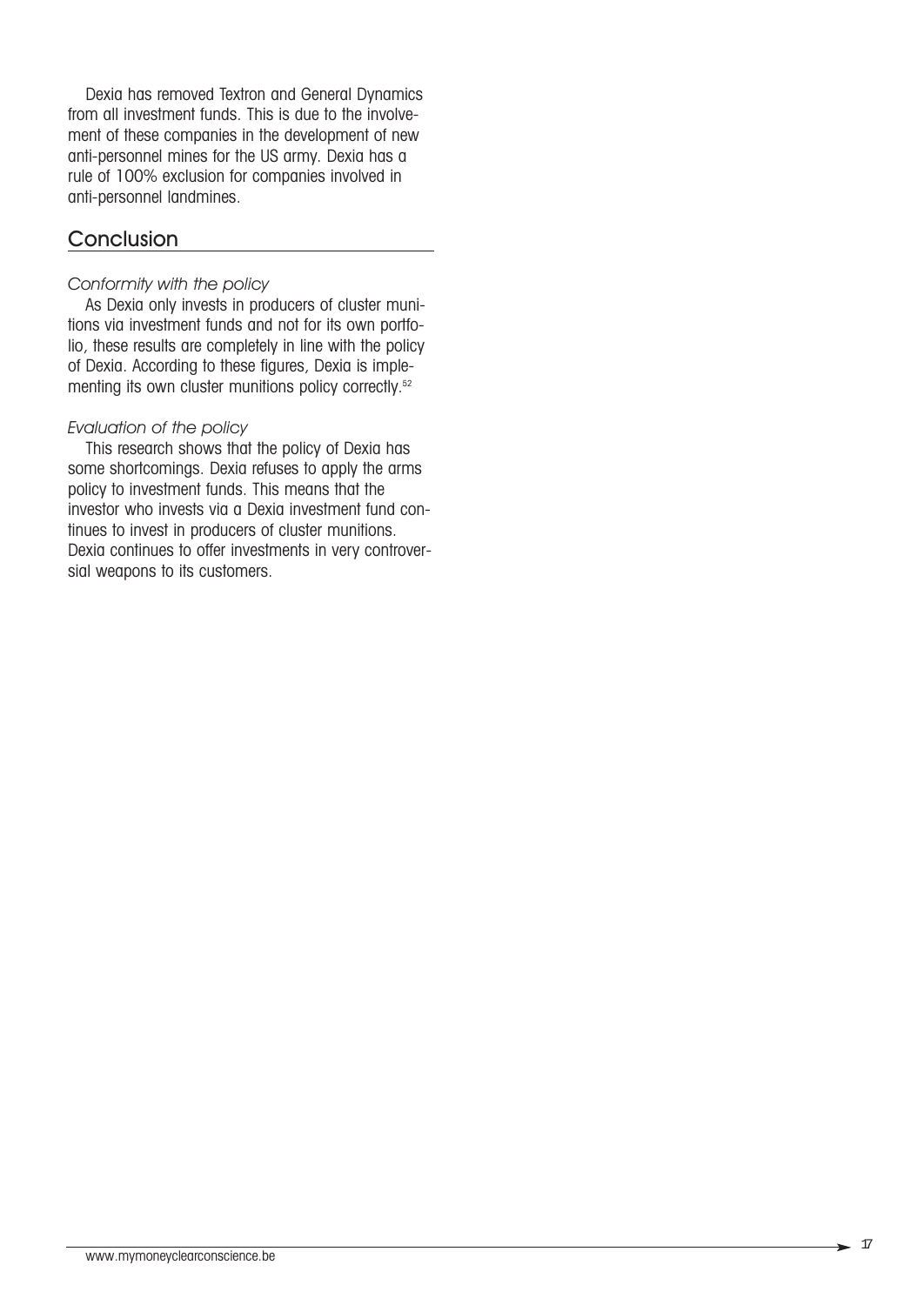Dexia has removed Textron and General Dynamics from all investment funds. This is due to the involvement of these companies in the development of new anti-personnel mines for the US army. Dexia has a rule of 100% exclusion for companies involved in anti-personnel landmines.

#### **Conclusion**

#### *Conformity with the policy*

As Dexia only invests in producers of cluster munitions via investment funds and not for its own portfolio, these results are completely in line with the policy of Dexia. According to these figures, Dexia is implementing its own cluster munitions policy correctly.<sup>52</sup>

#### *Evaluation of the policy*

This research shows that the policy of Dexia has some shortcomings. Dexia refuses to apply the arms policy to investment funds. This means that the investor who invests via a Dexia investment fund continues to invest in producers of cluster munitions. Dexia continues to offer investments in very controversial weapons to its customers.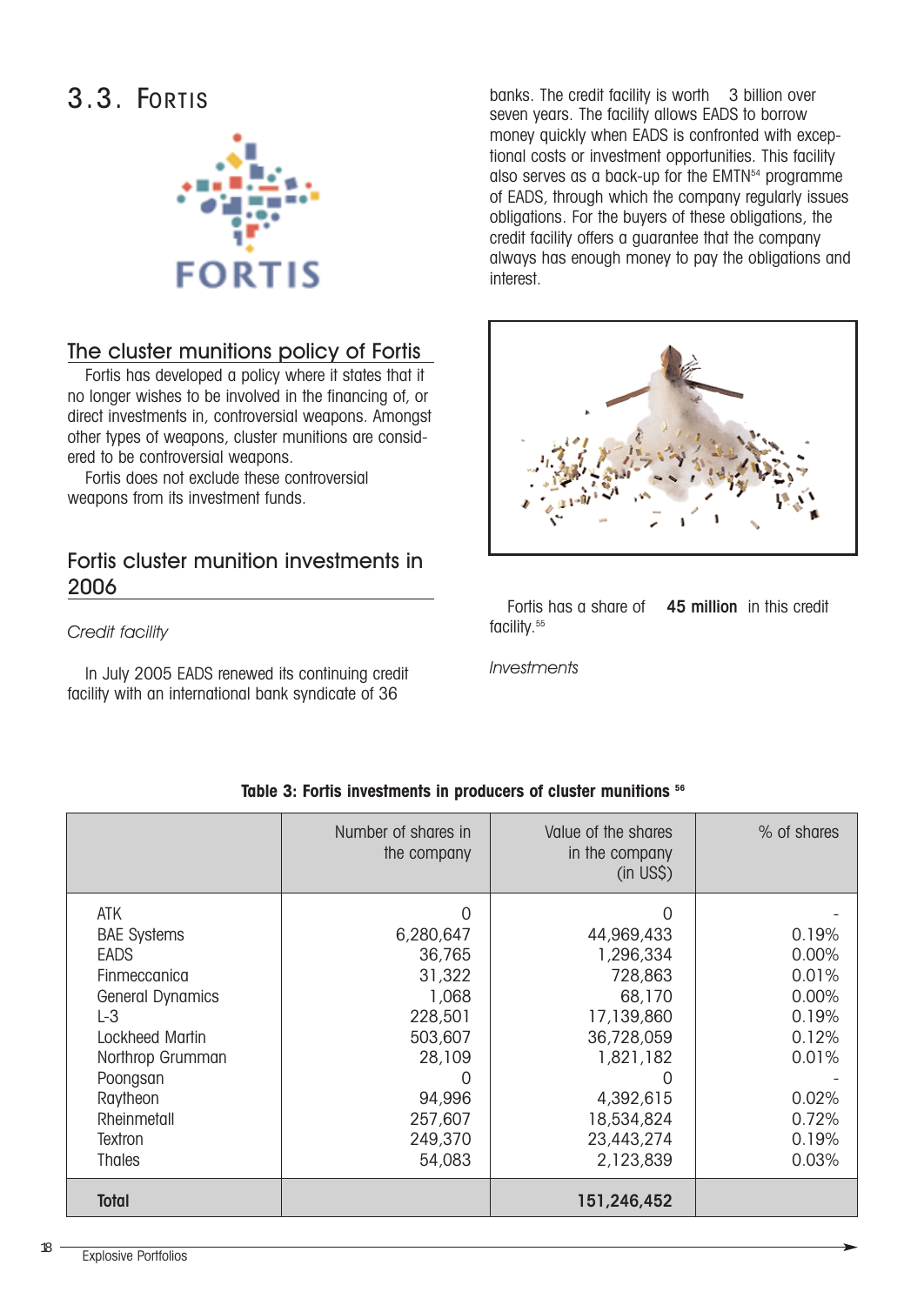### 3.3. FORTIS



#### The cluster munitions policy of Fortis

Fortis has developed a policy where it states that it no longer wishes to be involved in the financing of, or direct investments in, controversial weapons. Amongst other types of weapons, cluster munitions are considered to be controversial weapons.

Fortis does not exclude these controversial weapons from its investment funds.

#### Fortis cluster munition investments in 2006

*Credit facility*

In July 2005 EADS renewed its continuing credit facility with an international bank syndicate of 36

banks. The credit facility is worth 3 billion over seven years. The facility allows EADS to borrow money quickly when EADS is confronted with exceptional costs or investment opportunities. This facility also serves as a back-up for the EMTN<sup>54</sup> programme of EADS, through which the company regularly issues obligations. For the buyers of these obligations, the credit facility offers a guarantee that the company always has enough money to pay the obligations and interest.



Fortis has a share of 45 million in this credit facility.<sup>55</sup>

*Investments*

|                         | Number of shares in<br>the company | Value of the shares<br>in the company<br>$(in$ US\$ $)$ | % of shares |
|-------------------------|------------------------------------|---------------------------------------------------------|-------------|
| ATK                     | 0                                  |                                                         |             |
| <b>BAE Systems</b>      | 6,280,647                          | 44,969,433                                              | 0.19%       |
| <b>EADS</b>             | 36,765                             | 1,296,334                                               | 0.00%       |
| Finmeccanica            | 31,322                             | 728,863                                                 | 0.01%       |
| <b>General Dynamics</b> | 1,068                              | 68,170                                                  | 0.00%       |
| L-3                     | 228,501                            | 17,139,860                                              | 0.19%       |
| Lockheed Martin         | 503,607                            | 36,728,059                                              | 0.12%       |
| Northrop Grumman        | 28,109                             | 1,821,182                                               | 0.01%       |
| Poongsan                |                                    |                                                         |             |
| Raytheon                | 94,996                             | 4,392,615                                               | 0.02%       |
| Rheinmetall             | 257,607                            | 18,534,824                                              | 0.72%       |
| Textron                 | 249,370                            | 23,443,274                                              | 0.19%       |
| <b>Thales</b>           | 54,083                             | 2,123,839                                               | 0.03%       |
| <b>Total</b>            |                                    | 151,246,452                                             |             |

#### **Table 3: Fortis investments in producers of cluster munitions 56**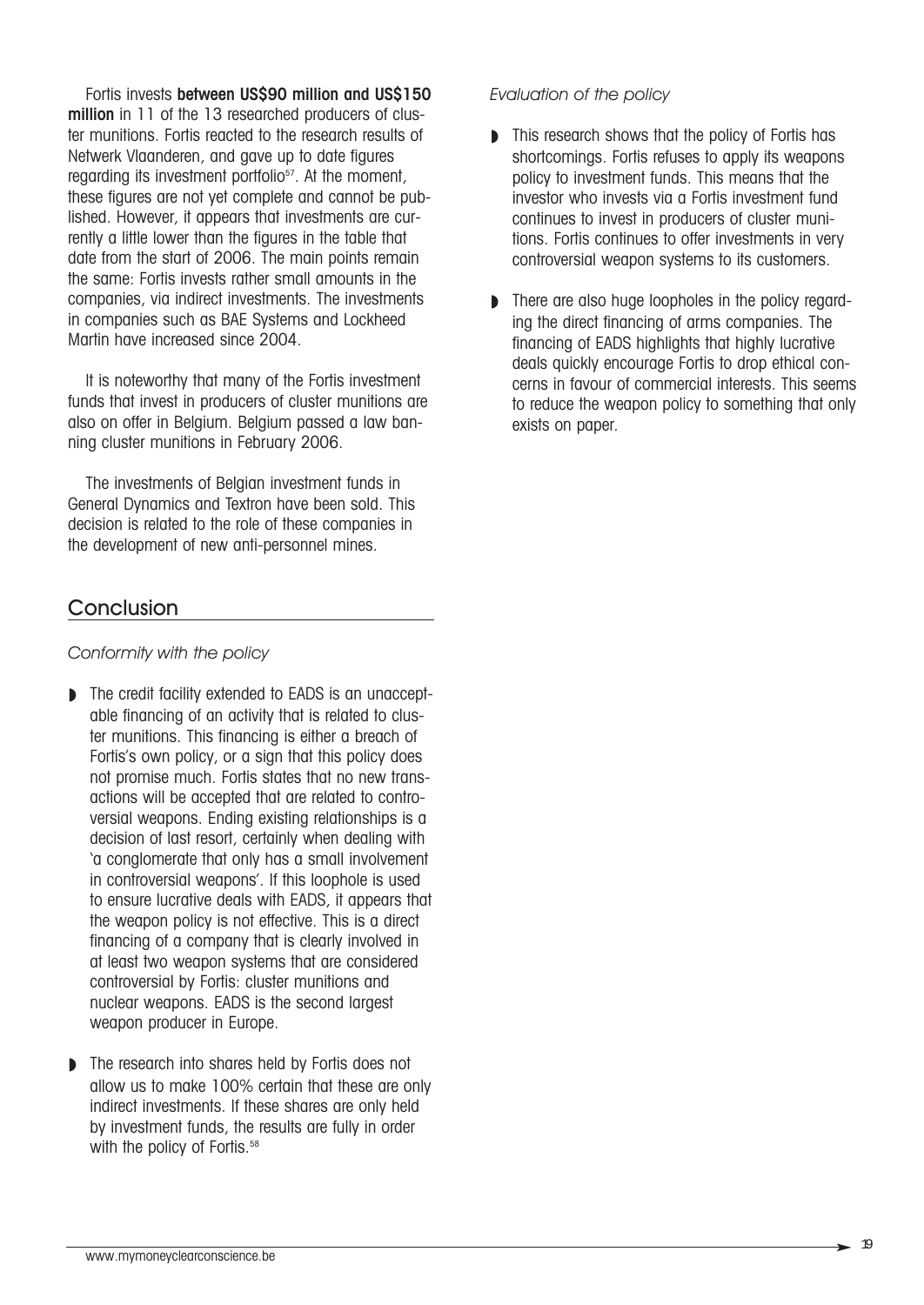Fortis invests between US\$90 million and US\$150 million in 11 of the 13 researched producers of cluster munitions. Fortis reacted to the research results of Netwerk Vlaanderen, and gave up to date figures regarding its investment portfolio<sup>57</sup>. At the moment, these figures are not yet complete and cannot be published. However, it appears that investments are currently a little lower than the figures in the table that date from the start of 2006. The main points remain the same: Fortis invests rather small amounts in the companies, via indirect investments. The investments in companies such as BAE Systems and Lockheed Martin have increased since 2004.

It is noteworthy that many of the Fortis investment funds that invest in producers of cluster munitions are also on offer in Belgium. Belgium passed a law banning cluster munitions in February 2006.

The investments of Belgian investment funds in General Dynamics and Textron have been sold. This decision is related to the role of these companies in the development of new anti-personnel mines.

#### **Conclusion**

#### *Conformity with the policy*

- ◗ The credit facility extended to EADS is an unacceptable financing of an activity that is related to cluster munitions. This financing is either a breach of Fortis's own policy, or a sign that this policy does not promise much. Fortis states that no new transactions will be accepted that are related to controversial weapons. Ending existing relationships is a decision of last resort, certainly when dealing with 'a conglomerate that only has a small involvement in controversial weapons'. If this loophole is used to ensure lucrative deals with EADS, it appears that the weapon policy is not effective. This is a direct financing of a company that is clearly involved in at least two weapon systems that are considered controversial by Fortis: cluster munitions and nuclear weapons. EADS is the second largest weapon producer in Europe.
- ◗ The research into shares held by Fortis does not allow us to make 100% certain that these are only indirect investments. If these shares are only held by investment funds, the results are fully in order with the policy of Fortis.<sup>58</sup>

#### *Evaluation of the policy*

- ◗ This research shows that the policy of Fortis has shortcomings. Fortis refuses to apply its weapons policy to investment funds. This means that the investor who invests via a Fortis investment fund continues to invest in producers of cluster munitions. Fortis continues to offer investments in very controversial weapon systems to its customers.
- There are also huge loopholes in the policy regarding the direct financing of arms companies. The financing of EADS highlights that highly lucrative deals quickly encourage Fortis to drop ethical concerns in favour of commercial interests. This seems to reduce the weapon policy to something that only exists on paper.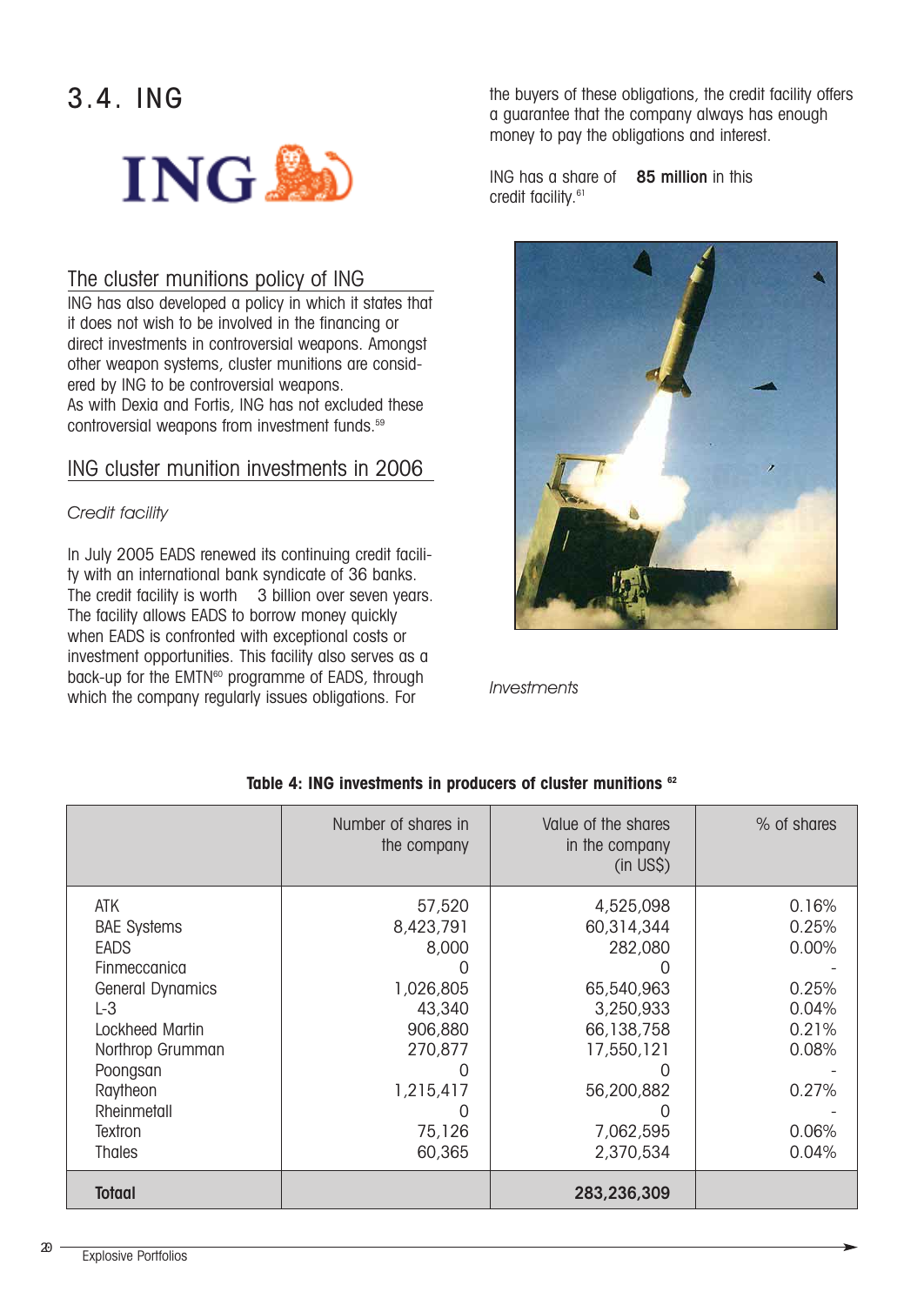## 3.4. ING



#### The cluster munitions policy of ING

ING has also developed a policy in which it states that it does not wish to be involved in the financing or direct investments in controversial weapons. Amongst other weapon systems, cluster munitions are considered by ING to be controversial weapons. As with Dexia and Fortis, ING has not excluded these controversial weapons from investment funds.59

#### ING cluster munition investments in 2006

#### *Credit facility*

In July 2005 EADS renewed its continuing credit facility with an international bank syndicate of 36 banks. The credit facility is worth 3 billion over seven years. The facility allows EADS to borrow money quickly when EADS is confronted with exceptional costs or investment opportunities. This facility also serves as a back-up for the EMTN<sup>60</sup> programme of EADS, through which the company regularly issues obligations. For

the buyers of these obligations, the credit facility offers a guarantee that the company always has enough money to pay the obligations and interest.

ING has a share of 85 million in this credit facility.61



*Investments*

|                                                                                                                                                             | Number of shares in<br>the company                                                     | Value of the shares<br>in the company<br>$(in \; US\$ )                                                 | % of shares                                                          |
|-------------------------------------------------------------------------------------------------------------------------------------------------------------|----------------------------------------------------------------------------------------|---------------------------------------------------------------------------------------------------------|----------------------------------------------------------------------|
| ATK<br><b>BAE Systems</b><br><b>EADS</b><br>Finmeccanica<br><b>General Dynamics</b><br>$L-3$<br>Lockheed Martin<br>Northrop Grumman<br>Poongsan<br>Raytheon | 57,520<br>8,423,791<br>8,000<br>1,026,805<br>43,340<br>906,880<br>270,877<br>1,215,417 | 4,525,098<br>60,314,344<br>282,080<br>65,540,963<br>3,250,933<br>66,138,758<br>17,550,121<br>56,200,882 | 0.16%<br>0.25%<br>0.00%<br>0.25%<br>0.04%<br>0.21%<br>0.08%<br>0.27% |
| Rheinmetall<br>Textron<br><b>Thales</b>                                                                                                                     | 75,126<br>60,365                                                                       | 7,062,595<br>2,370,534                                                                                  | 0.06%<br>0.04%                                                       |
| <b>Totaal</b>                                                                                                                                               |                                                                                        | 283,236,309                                                                                             |                                                                      |

#### **Table 4: ING investments in producers of cluster munitions 62**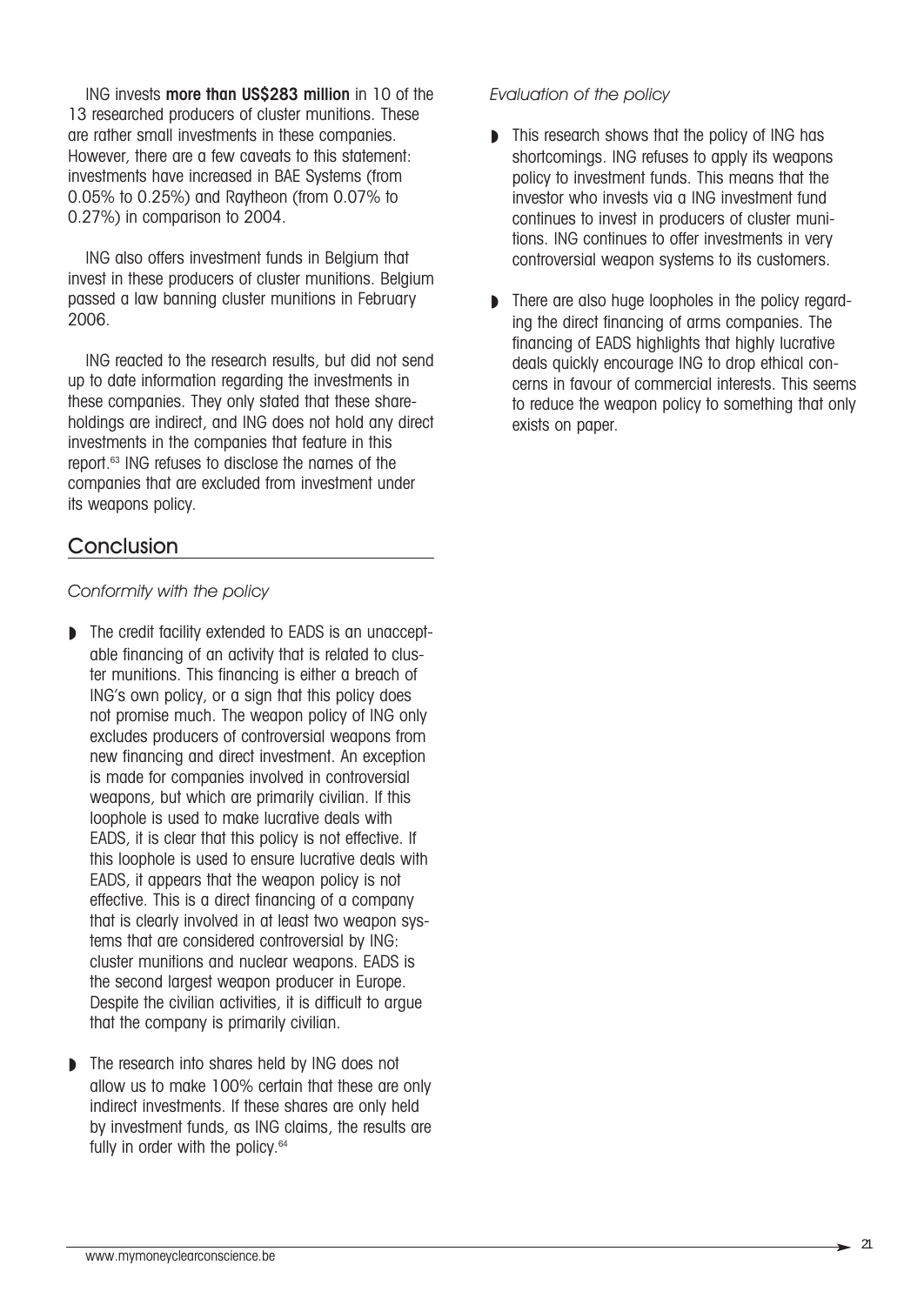ING invests more than US\$283 million in 10 of the 13 researched producers of cluster munitions. These are rather small investments in these companies. However, there are a few caveats to this statement: investments have increased in BAE Systems (from 0.05% to 0.25%) and Raytheon (from 0.07% to 0.27%) in comparison to 2004.

ING also offers investment funds in Belgium that invest in these producers of cluster munitions. Belgium passed a law banning cluster munitions in February 2006.

ING reacted to the research results, but did not send up to date information regarding the investments in these companies. They only stated that these shareholdings are indirect, and ING does not hold any direct investments in the companies that feature in this report.63 ING refuses to disclose the names of the companies that are excluded from investment under its weapons policy.

#### **Conclusion**

#### *Conformity with the policy*

- The credit facility extended to EADS is an unacceptable financing of an activity that is related to cluster munitions. This financing is either a breach of ING's own policy, or a sign that this policy does not promise much. The weapon policy of ING only excludes producers of controversial weapons from new financing and direct investment. An exception is made for companies involved in controversial weapons, but which are primarily civilian. If this loophole is used to make lucrative deals with EADS, it is clear that this policy is not effective. If this loophole is used to ensure lucrative deals with EADS, it appears that the weapon policy is not effective. This is a direct financing of a company that is clearly involved in at least two weapon systems that are considered controversial by ING: cluster munitions and nuclear weapons. EADS is the second largest weapon producer in Europe. Despite the civilian activities, it is difficult to argue that the company is primarily civilian.
- ◗ The research into shares held by ING does not allow us to make 100% certain that these are only indirect investments. If these shares are only held by investment funds, as ING claims, the results are fully in order with the policy.<sup>64</sup>

#### *Evaluation of the policy*

- ◗ This research shows that the policy of ING has shortcomings. ING refuses to apply its weapons policy to investment funds. This means that the investor who invests via a ING investment fund continues to invest in producers of cluster munitions. ING continues to offer investments in very controversial weapon systems to its customers.
- There are also huge loopholes in the policy regarding the direct financing of arms companies. The financing of EADS highlights that highly lucrative deals quickly encourage ING to drop ethical concerns in favour of commercial interests. This seems to reduce the weapon policy to something that only exists on paper.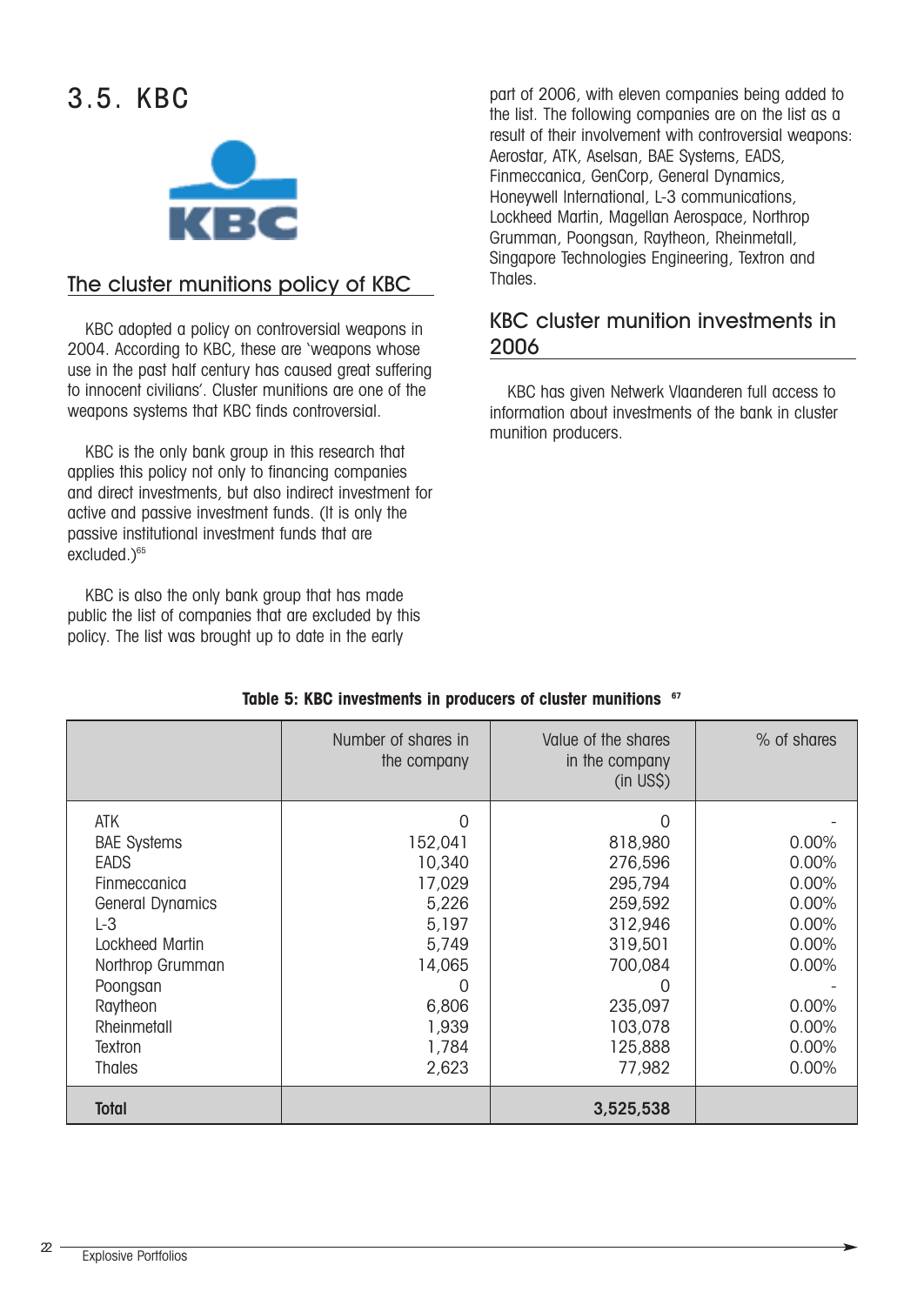## 3.5. KBC



#### The cluster munitions policy of KBC

KBC adopted a policy on controversial weapons in 2004. According to KBC, these are 'weapons whose use in the past half century has caused great suffering to innocent civilians'. Cluster munitions are one of the weapons systems that KBC finds controversial.

KBC is the only bank group in this research that applies this policy not only to financing companies and direct investments, but also indirect investment for active and passive investment funds. (It is only the passive institutional investment funds that are excluded.)<sup>65</sup>

KBC is also the only bank group that has made public the list of companies that are excluded by this policy. The list was brought up to date in the early

part of 2006, with eleven companies being added to the list. The following companies are on the list as a result of their involvement with controversial weapons: Aerostar, ATK, Aselsan, BAE Systems, EADS, Finmeccanica, GenCorp, General Dynamics, Honeywell International, L-3 communications, Lockheed Martin, Magellan Aerospace, Northrop Grumman, Poongsan, Raytheon, Rheinmetall, Singapore Technologies Engineering, Textron and Thales.

#### KBC cluster munition investments in 2006

KBC has given Netwerk Vlaanderen full access to information about investments of the bank in cluster munition producers.

|                         | Number of shares in<br>the company | Value of the shares<br>in the company<br>$(in$ US\$ $)$ | % of shares |
|-------------------------|------------------------------------|---------------------------------------------------------|-------------|
| <b>ATK</b>              | $\Omega$                           | $\Omega$                                                |             |
| <b>BAE Systems</b>      | 152,041                            | 818,980                                                 | 0.00%       |
| <b>EADS</b>             | 10,340                             | 276,596                                                 | 0.00%       |
| Finmeccanica            | 17,029                             | 295,794                                                 | 0.00%       |
| <b>General Dynamics</b> | 5,226                              | 259,592                                                 | 0.00%       |
| $L-3$                   | 5,197                              | 312,946                                                 | 0.00%       |
| Lockheed Martin         | 5,749                              | 319,501                                                 | 0.00%       |
| Northrop Grumman        | 14,065                             | 700,084                                                 | 0.00%       |
| Poongsan                | O                                  | 0                                                       |             |
| Raytheon                | 6,806                              | 235,097                                                 | 0.00%       |
| Rheinmetall             | 1,939                              | 103,078                                                 | 0.00%       |
| Textron                 | 1,784                              | 125,888                                                 | 0.00%       |
| <b>Thales</b>           | 2,623                              | 77,982                                                  | 0.00%       |
| <b>Total</b>            |                                    | 3,525,538                                               |             |

#### **Table 5: KBC investments in producers of cluster munitions 67**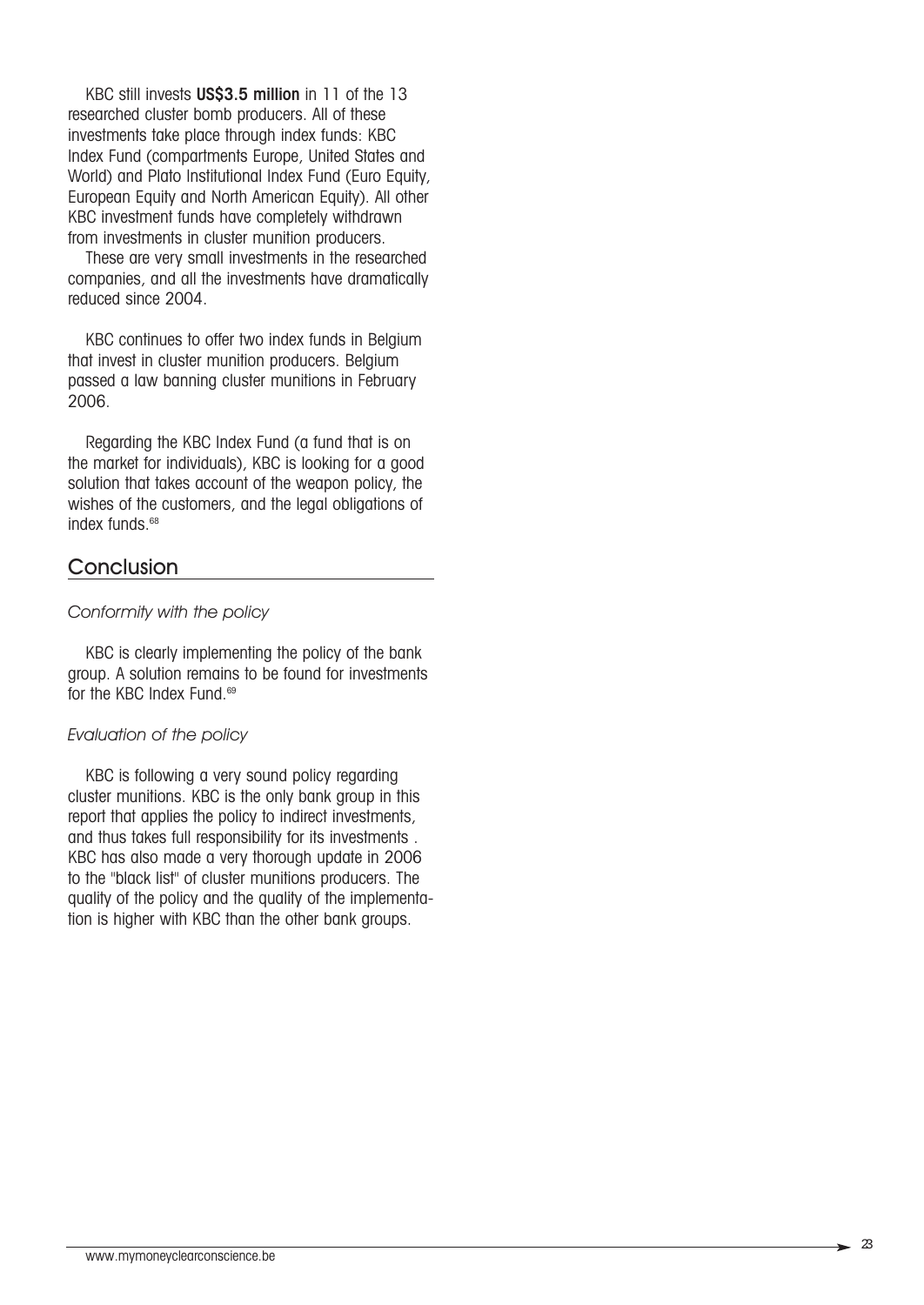KBC still invests US\$3.5 million in 11 of the 13 researched cluster bomb producers. All of these investments take place through index funds: KBC Index Fund (compartments Europe, United States and World) and Plato Institutional Index Fund (Euro Equity, European Equity and North American Equity). All other KBC investment funds have completely withdrawn from investments in cluster munition producers.

These are very small investments in the researched companies, and all the investments have dramatically reduced since 2004.

KBC continues to offer two index funds in Belgium that invest in cluster munition producers. Belgium passed a law banning cluster munitions in February 2006.

Regarding the KBC Index Fund (a fund that is on the market for individuals), KBC is looking for a good solution that takes account of the weapon policy, the wishes of the customers, and the legal obligations of index funds.<sup>68</sup>

#### **Conclusion**

#### *Conformity with the policy*

KBC is clearly implementing the policy of the bank group. A solution remains to be found for investments for the KBC Index Fund.<sup>69</sup>

#### *Evaluation of the policy*

KBC is following a very sound policy regarding cluster munitions. KBC is the only bank group in this report that applies the policy to indirect investments, and thus takes full responsibility for its investments . KBC has also made a very thorough update in 2006 to the "black list" of cluster munitions producers. The quality of the policy and the quality of the implementation is higher with KBC than the other bank groups.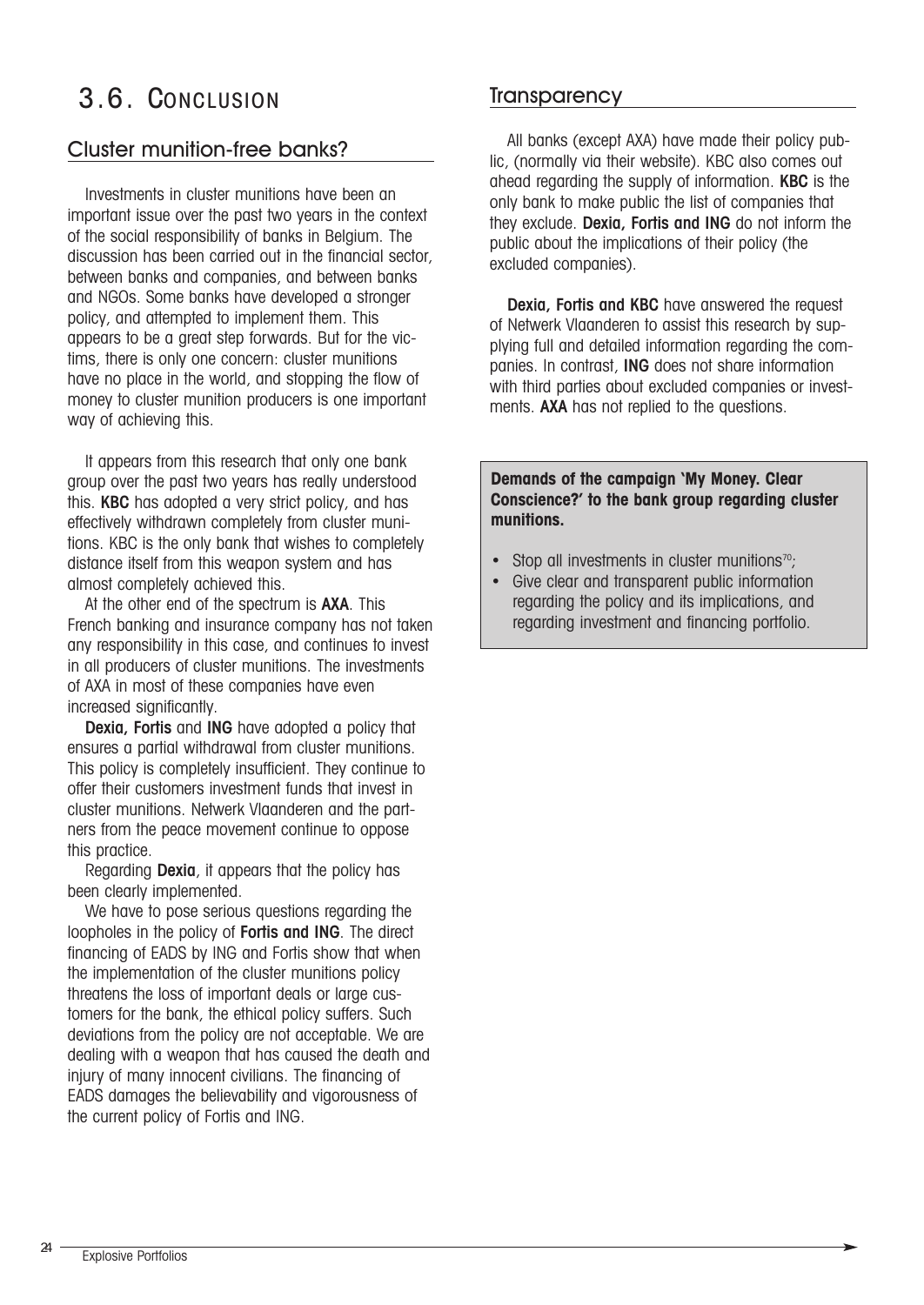## 3.6. CONCLUSION

#### Cluster munition-free banks?

Investments in cluster munitions have been an important issue over the past two years in the context of the social responsibility of banks in Belgium. The discussion has been carried out in the financial sector, between banks and companies, and between banks and NGOs. Some banks have developed a stronger policy, and attempted to implement them. This appears to be a great step forwards. But for the victims, there is only one concern: cluster munitions have no place in the world, and stopping the flow of money to cluster munition producers is one important way of achieving this.

It appears from this research that only one bank group over the past two years has really understood this. KBC has adopted a very strict policy, and has effectively withdrawn completely from cluster munitions. KBC is the only bank that wishes to completely distance itself from this weapon system and has almost completely achieved this.

At the other end of the spectrum is **AXA**. This French banking and insurance company has not taken any responsibility in this case, and continues to invest in all producers of cluster munitions. The investments of AXA in most of these companies have even increased significantly.

Dexia, Fortis and ING have adopted a policy that ensures a partial withdrawal from cluster munitions. This policy is completely insufficient. They continue to offer their customers investment funds that invest in cluster munitions. Netwerk Vlaanderen and the partners from the peace movement continue to oppose this practice.

Regarding Dexia, it appears that the policy has been clearly implemented.

We have to pose serious questions regarding the loopholes in the policy of Fortis and ING. The direct financing of EADS by ING and Fortis show that when the implementation of the cluster munitions policy threatens the loss of important deals or large customers for the bank, the ethical policy suffers. Such deviations from the policy are not acceptable. We are dealing with a weapon that has caused the death and injury of many innocent civilians. The financing of EADS damages the believability and vigorousness of the current policy of Fortis and ING.

#### **Transparency**

All banks (except AXA) have made their policy public, (normally via their website). KBC also comes out ahead regarding the supply of information. KBC is the only bank to make public the list of companies that they exclude. Dexia, Fortis and ING do not inform the public about the implications of their policy (the excluded companies).

Dexia, Fortis and KBC have answered the request of Netwerk Vlaanderen to assist this research by supplying full and detailed information regarding the companies. In contrast, ING does not share information with third parties about excluded companies or investments. **AXA** has not replied to the questions.

#### **Demands of the campaign 'My Money. Clear Conscience?' to the bank group regarding cluster munitions.**

- Stop all investments in cluster munitions $70$ ;
- Give clear and transparent public information regarding the policy and its implications, and regarding investment and financing portfolio.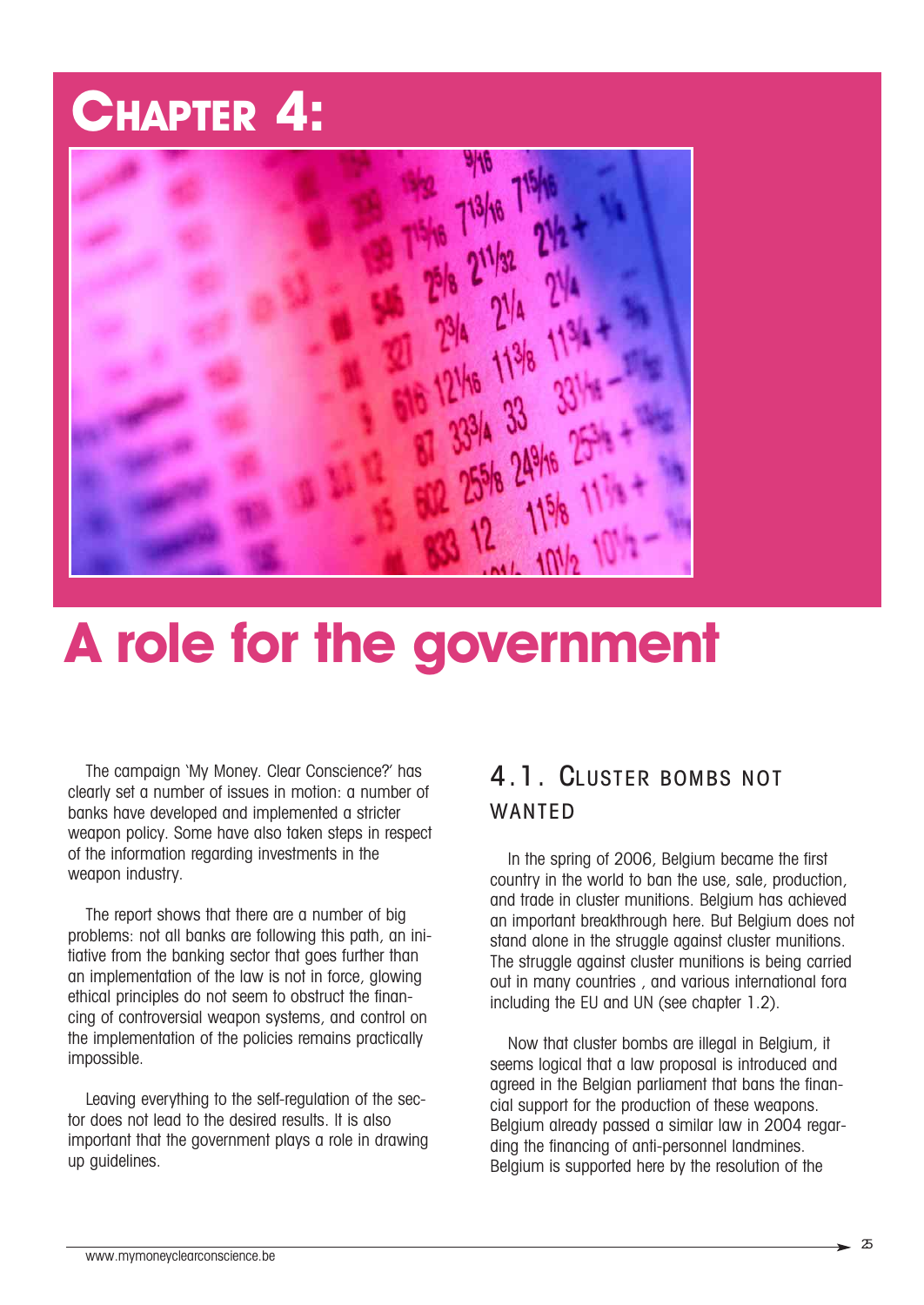## **CHAPTER 4:**



## **A role for the government**

The campaign 'My Money. Clear Conscience?' has clearly set a number of issues in motion: a number of banks have developed and implemented a stricter weapon policy. Some have also taken steps in respect of the information regarding investments in the weapon industry.

The report shows that there are a number of big problems: not all banks are following this path, an initiative from the banking sector that goes further than an implementation of the law is not in force, glowing ethical principles do not seem to obstruct the financing of controversial weapon systems, and control on the implementation of the policies remains practically impossible.

Leaving everything to the self-regulation of the sector does not lead to the desired results. It is also important that the government plays a role in drawing up guidelines.

### 4.1. CLUSTER BOMBS NOT WANTED

In the spring of 2006, Belgium became the first country in the world to ban the use, sale, production, and trade in cluster munitions. Belgium has achieved an important breakthrough here. But Belgium does not stand alone in the struggle against cluster munitions. The struggle against cluster munitions is being carried out in many countries , and various international fora including the EU and UN (see chapter 1.2).

Now that cluster bombs are illegal in Belgium, it seems logical that a law proposal is introduced and agreed in the Belgian parliament that bans the financial support for the production of these weapons. Belgium already passed a similar law in 2004 regarding the financing of anti-personnel landmines. Belgium is supported here by the resolution of the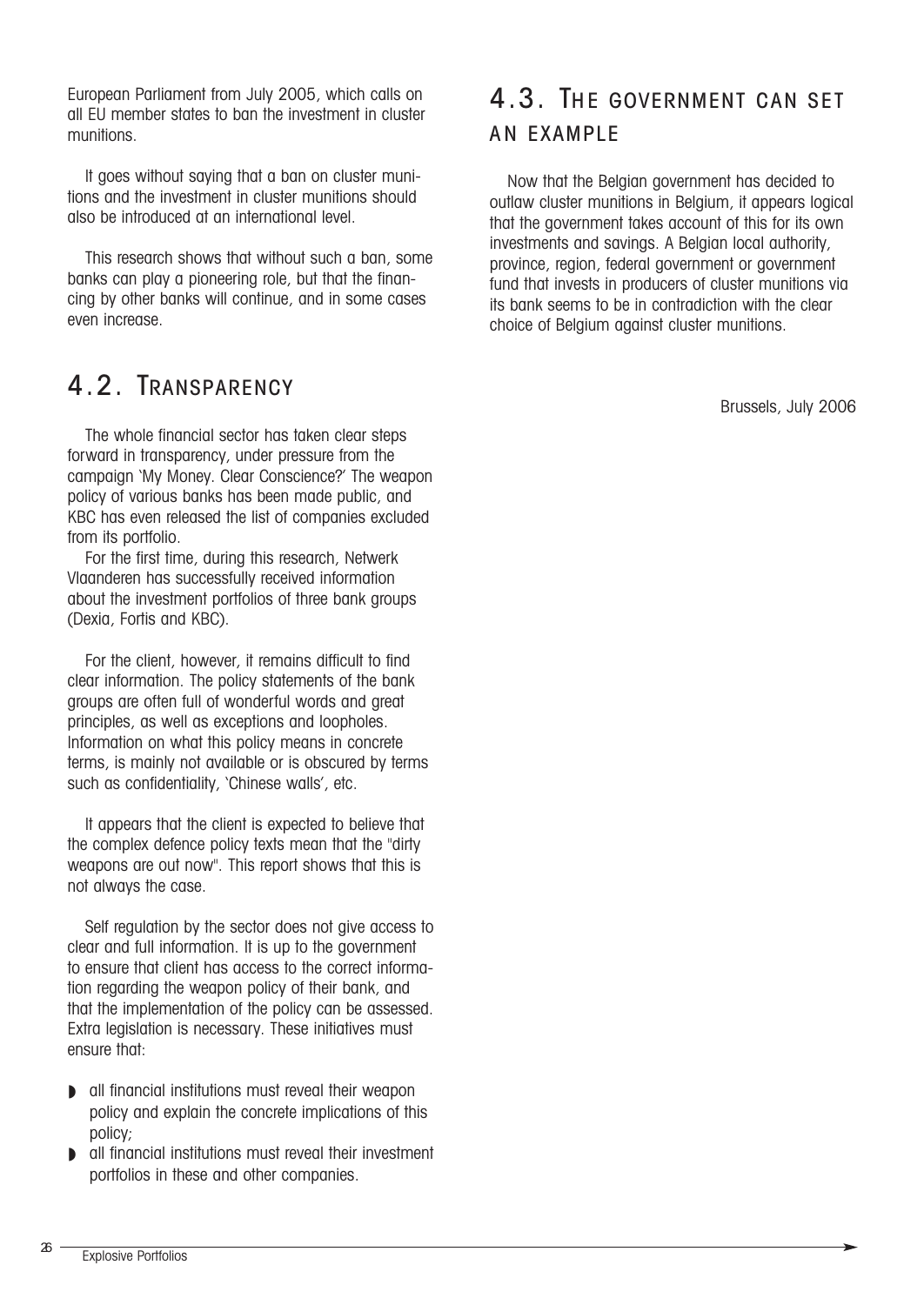European Parliament from July 2005, which calls on all EU member states to ban the investment in cluster munitions.

It goes without saying that a ban on cluster munitions and the investment in cluster munitions should also be introduced at an international level.

This research shows that without such a ban, some banks can play a pioneering role, but that the financing by other banks will continue, and in some cases even increase.

### 4.2. TRANSPARENCY

The whole financial sector has taken clear steps forward in transparency, under pressure from the campaign 'My Money. Clear Conscience?' The weapon policy of various banks has been made public, and KBC has even released the list of companies excluded from its portfolio.

For the first time, during this research, Netwerk Vlaanderen has successfully received information about the investment portfolios of three bank groups (Dexia, Fortis and KBC).

For the client, however, it remains difficult to find clear information. The policy statements of the bank groups are often full of wonderful words and great principles, as well as exceptions and loopholes. Information on what this policy means in concrete terms, is mainly not available or is obscured by terms such as confidentiality, 'Chinese walls', etc.

It appears that the client is expected to believe that the complex defence policy texts mean that the "dirty weapons are out now". This report shows that this is not always the case.

Self regulation by the sector does not give access to clear and full information. It is up to the government to ensure that client has access to the correct information regarding the weapon policy of their bank, and that the implementation of the policy can be assessed. Extra legislation is necessary. These initiatives must ensure that:

- ◗ all financial institutions must reveal their weapon policy and explain the concrete implications of this policy;
- ◗ all financial institutions must reveal their investment portfolios in these and other companies.

## 4.3. THE GOVERNMENT CAN SET AN EXAMPLE

Now that the Belgian government has decided to outlaw cluster munitions in Belgium, it appears logical that the government takes account of this for its own investments and savings. A Belgian local authority, province, region, federal government or government fund that invests in producers of cluster munitions via its bank seems to be in contradiction with the clear choice of Belgium against cluster munitions.

Brussels, July 2006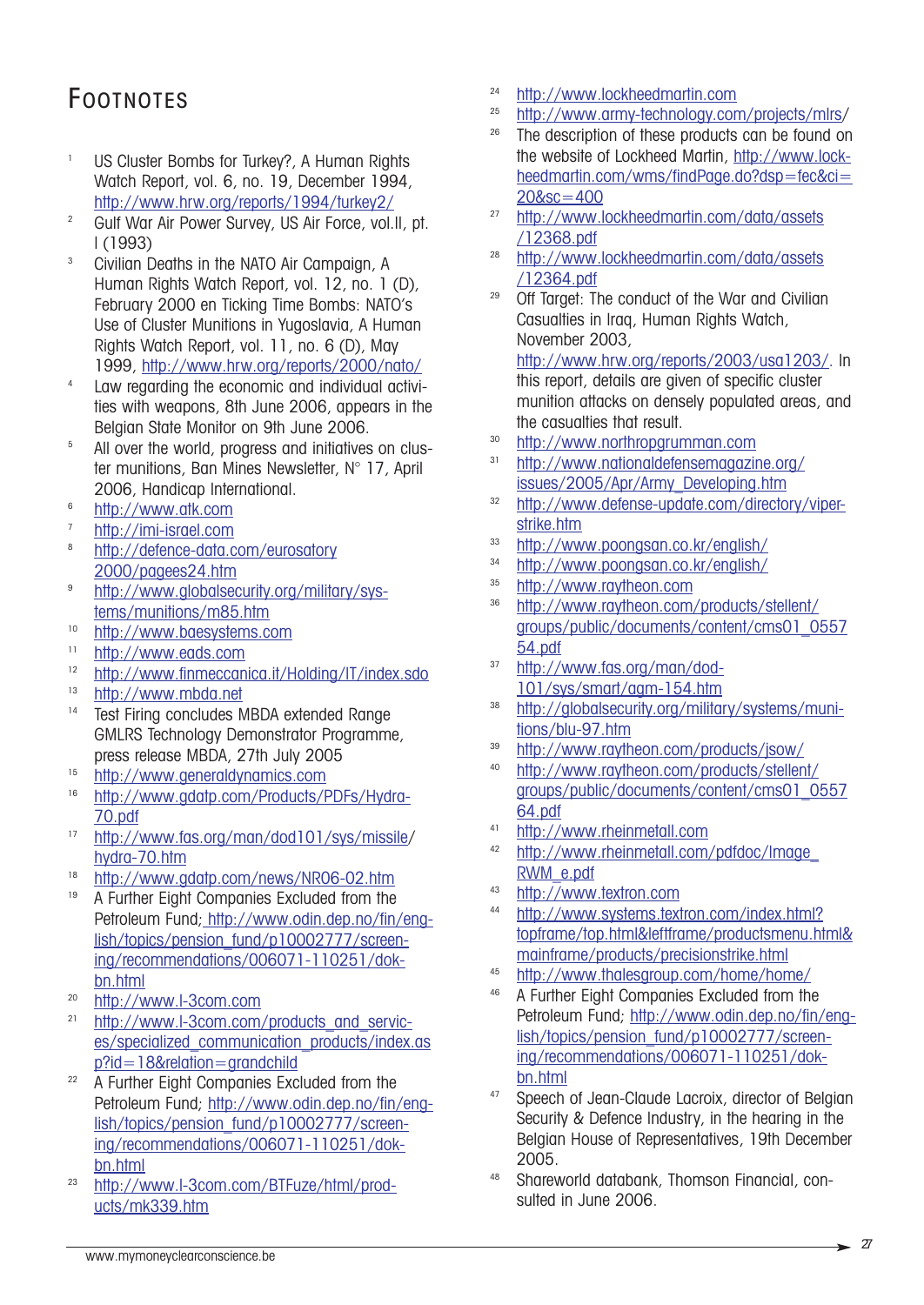## FOOTNOTES

- <sup>1</sup> US Cluster Bombs for Turkey?, A Human Rights Watch Report, vol. 6, no. 19, December 1994, http://www.hrw.org/reports/1994/turkey2/
- <sup>2</sup> Gulf War Air Power Survey, US Air Force, vol.II, pt. I (1993)
- <sup>3</sup> Civilian Deaths in the NATO Air Campaign, A Human Rights Watch Report, vol. 12, no. 1 (D), February 2000 en Ticking Time Bombs: NATO's Use of Cluster Munitions in Yugoslavia, A Human Rights Watch Report, vol. 11, no. 6 (D), May 1999, http://www.hrw.org/reports/2000/nato/
- <sup>4</sup> Law regarding the economic and individual activities with weapons, 8th June 2006, appears in the Belgian State Monitor on 9th June 2006.
- <sup>5</sup> All over the world, progress and initiatives on cluster munitions, Ban Mines Newsletter, N° 17, April 2006, Handicap International.
- <sup>6</sup> http://www.atk.com
- $\frac{\text{http://imi-israel.com}}{\text{http://defence data}}$
- http://defence-data.com/eurosatory 2000/pagees24.htm
- <sup>9</sup> http://www.globalsecurity.org/military/systems/munitions/m85.htm
- <sup>10</sup> http://www.baesystems.com
- $\frac{\text{http://www.eads.com}}{\text{http://www.fimegcan}}$
- <sup>12</sup> http://www.finmeccanica.it/Holding/IT/index.sdo
- $\frac{\text{http://www.mbda.net}}{\text{Tot} \cdot \text{Firing}}$
- Test Firing concludes MBDA extended Range GMLRS Technology Demonstrator Programme, press release MBDA, 27th July 2005
- <sup>15</sup> http://www.generaldynamics.com<br><sup>16</sup> http://www.adatp.com/Products/F
- http://www.gdatp.com/Products/PDFs/Hydra-70.pdf
- <sup>17</sup> http://www.fas.org/man/dod101/sys/missile/ hydra-70.htm
- $\frac{18}{18}$  http://www.gdatp.com/news/NR06-02.htm<br> $\frac{18}{18}$  A Further Fight Companies Excluded from the
- <sup>19</sup> A Further Eight Companies Excluded from the Petroleum Fund; http://www.odin.dep.no/fin/english/topics/pension\_fund/p10002777/screening/recommendations/006071-110251/dokbn.html
- $\frac{\text{http://www.l-3com.com}}{\text{http://www.l-3com.com}}$
- http://www.l-3com.com/products\_and\_services/specialized\_communication\_products/index.as p?id=18&relation=grandchild
- <sup>22</sup> A Further Eight Companies Excluded from the Petroleum Fund; http://www.odin.dep.no/fin/english/topics/pension\_fund/p10002777/screening/recommendations/006071-110251/dokbn.html
- <sup>23</sup> http://www.l-3com.com/BTFuze/html/products/mk339.htm
- $\frac{\text{http://www.lockheedmarlin.com}}{\text{http://www.arcw-technology.com}}$
- $^{25}$  http://www.army-technology.com/projects/mlrs/<br> $^{26}$  The description of these products can be found on
- The description of these products can be found on the website of Lockheed Martin, http://www.lockheedmartin.com/wms/findPage.do?dsp=fec&ci= 20&sc=400
- <sup>27</sup> http://www.lockheedmartin.com/data/assets /12368.pdf
- <sup>28</sup> http://www.lockheedmartin.com/data/assets /12364.pdf
- <sup>29</sup> Off Target: The conduct of the War and Civilian Casualties in Iraq, Human Rights Watch, November 2003,

http://www.hrw.org/reports/2003/usa1203/. In this report, details are given of specific cluster munition attacks on densely populated areas, and the casualties that result.

- <sup>30</sup> http://www.northropgrumman.com
- <sup>31</sup> http://www.nationaldefensemagazine.org/ issues/2005/Apr/Army\_Developing.htm
- <sup>32</sup> http://www.defense-update.com/directory/viperstrike.htm
- <sup>33</sup> http://www.poongsan.co.kr/english/
- 34 http://www.poongsan.co.kr/english/<br>35 http://www.raytheon.com
- $\frac{\text{http://www.raythen.com}}{\text{http://www.raythen.com}}$
- <sup>36</sup> http://www.raytheon.com/products/stellent/ groups/public/documents/content/cms01\_0557 54.pdf
- <sup>37</sup> http://www.fas.org/man/dod-101/sys/smart/agm-154.htm
- <sup>38</sup> http://globalsecurity.org/military/systems/munitions/blu-97.htm
- <sup>39</sup> http://www.raytheon.com/products/jsow/
- <sup>40</sup> http://www.raytheon.com/products/stellent/ groups/public/documents/content/cms01\_0557 64.pdf
- <sup>41</sup> http://www.rheinmetall.com
- http://www.rheinmetall.com/pdfdoc/Image RWM\_e.pdf
- 43 http://www.textron.com
- http://www.systems.textron.com/index.html? topframe/top.html&leftframe/productsmenu.html& mainframe/products/precisionstrike.html
- $\frac{\text{http://www.thalesgroup.com/home/home}}{\text{http://www.thalesgroup.com/home/home}}$
- <sup>46</sup> A Further Eight Companies Excluded from the Petroleum Fund; http://www.odin.dep.no/fin/english/topics/pension\_fund/p10002777/screening/recommendations/006071-110251/dokbn.html
- 47 Speech of Jean-Claude Lacroix, director of Belgian Security & Defence Industry, in the hearing in the Belgian House of Representatives, 19th December 2005.
- <sup>48</sup> Shareworld databank, Thomson Financial, consulted in June 2006.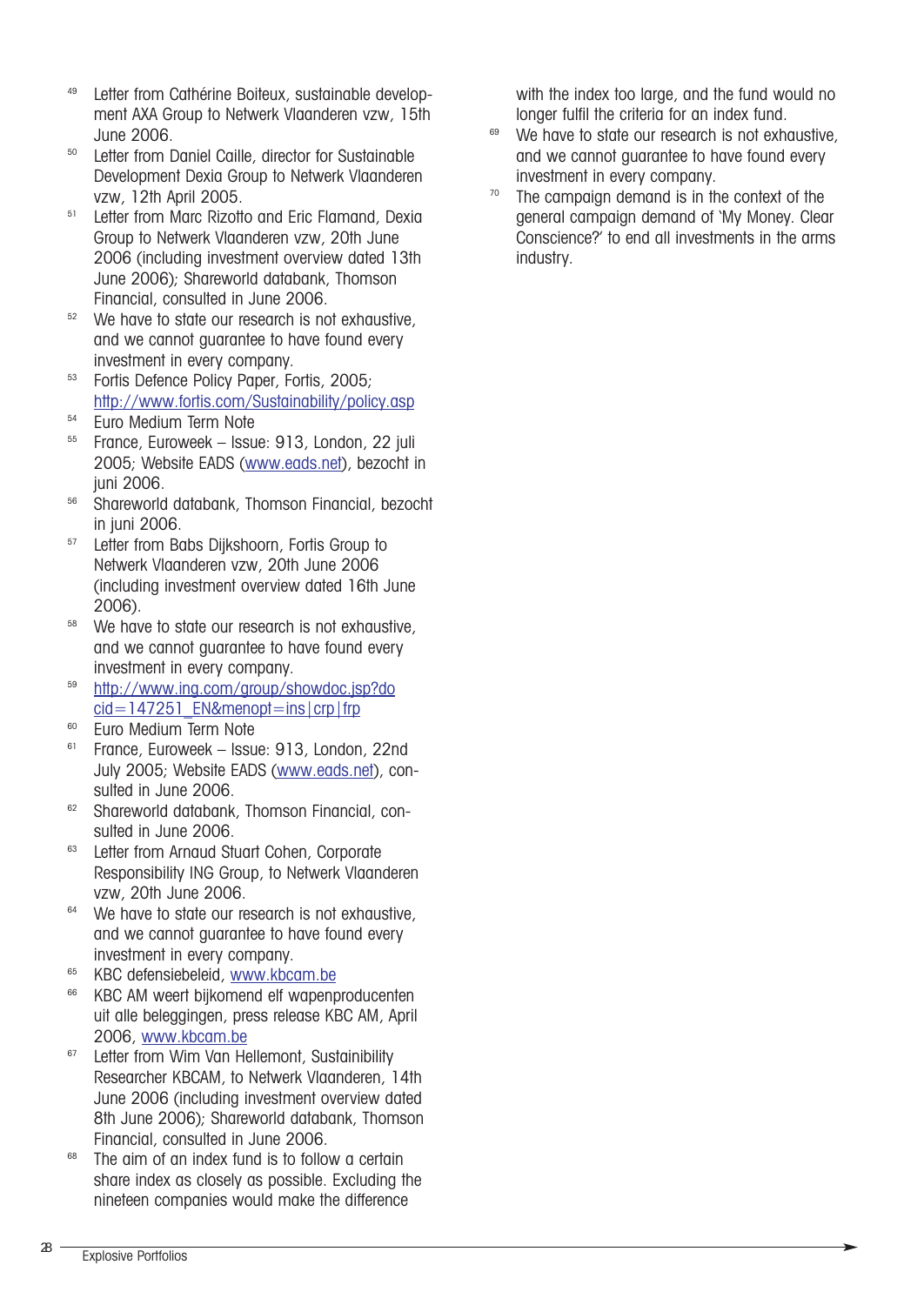- <sup>49</sup> Letter from Cathérine Boiteux, sustainable development AXA Group to Netwerk Vlaanderen vzw, 15th June 2006.
- Letter from Daniel Caille, director for Sustainable Development Dexia Group to Netwerk Vlaanderen vzw, 12th April 2005.<br><sup>51</sup> Letter from Marc Rizotto and Eric Flamand, Dexia
- Group to Netwerk Vlaanderen vzw, 20th June 2006 (including investment overview dated 13th June 2006); Shareworld databank, Thomson<br>Financial, consulted in June 2006.
- $52$  We have to state our research is not exhaustive, and we cannot guarantee to have found every investment in every company.
- <sup>53</sup> Fortis Defence Policy Paper, Fortis, 2005; http://www.fortis.com/Sustainability/policy.asp
- $54$  Euro Medium Term Note
- <sup>55</sup> France, Euroweek Issue: 913, London, 22 juli 2005; Website EADS (www.eads.net), bezocht in juni 2006.
- <sup>56</sup> Shareworld databank, Thomson Financial, bezocht in juni 2006.<br><sup>57</sup> Letter from Babs Diikshoorn, Fortis Group to
- Netwerk Vlaanderen vzw, 20th June 2006 (including investment overview dated 16th June 2006).
- <sup>58</sup> We have to state our research is not exhaustive, and we cannot guarantee to have found every investment in every company.
- <sup>59</sup> http://www.ing.com/group/showdoc.jsp?do cid=147251\_EN&menopt=ins|crp|frp
- <sup>60</sup> Euro Medium Term Note
- <sup>61</sup> France, Euroweek Issue: 913, London, 22nd July 2005; Website EADS (www.eads.net), consulted in June 2006.
- <sup>62</sup> Shareworld databank, Thomson Financial, consulted in June 2006.<br><sup>63</sup> Letter from Arnaud Stuart Cohen, Corporate
- Responsibility ING Group, to Netwerk Vlaanderen
- vzw, 20th June 2006.<br><sup>64</sup> We have to state our research is not exhaustive. and we cannot guarantee to have found every investment in every company.
- <sup>65</sup> KBC defensiebeleid, www.kbcam.be
- <sup>66</sup> KBC AM weert bijkomend elf wapenproducenten uit alle beleggingen, press release KBC AM, April 2006, www.kbcam.be
- <sup>67</sup> Letter from Wim Van Hellemont, Sustainibility Researcher KBCAM, to Netwerk Vlaanderen, 14th June 2006 (including investment overview dated 8th June 2006); Shareworld databank, Thomson<br>Financial, consulted in June 2006.
- $68$  The aim of an index fund is to follow a certain share index as closely as possible. Excluding the nineteen companies would make the difference

with the index too large, and the fund would no

- longer fulfil the criteria for an index fund.<br><sup>69</sup> We have to state our research is not exhaustive, and we cannot guarantee to have found every investment in every company.
- $70$  The campaign demand is in the context of the general campaign demand of 'My Money. Clear Conscience?' to end all investments in the arms industry.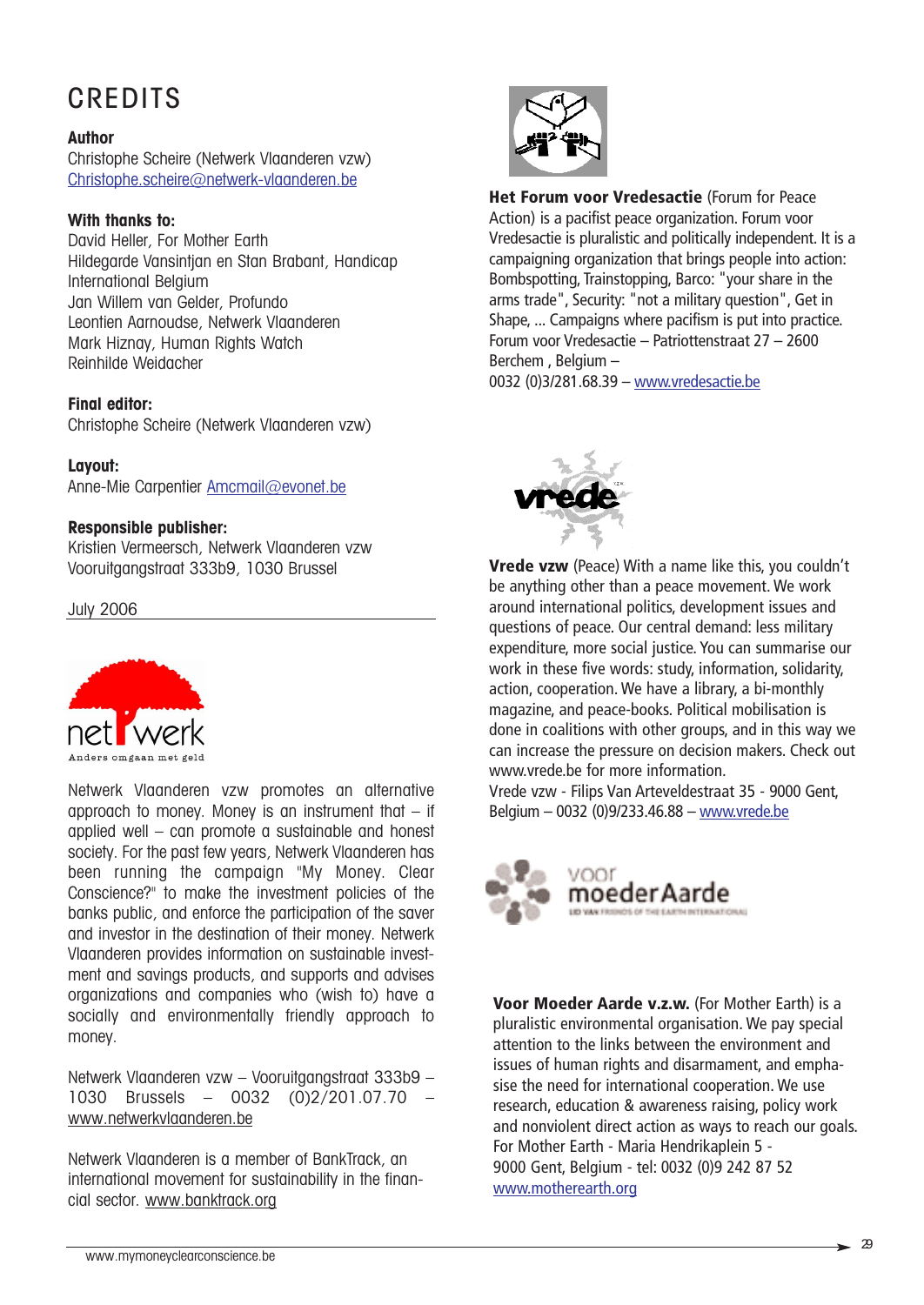## **CREDITS**

#### **Author**

Christophe Scheire (Netwerk Vlaanderen vzw) Christophe.scheire@netwerk-vlaanderen.be

#### **With thanks to:**

David Heller, For Mother Earth Hildegarde Vansintjan en Stan Brabant, Handicap International Belgium Jan Willem van Gelder, Profundo Leontien Aarnoudse, Netwerk Vlaanderen Mark Hiznay, Human Rights Watch Reinhilde Weidacher

#### **Final editor:**

Christophe Scheire (Netwerk Vlaanderen vzw)

#### **Layout:**

Anne-Mie Carpentier Amcmail@evonet.be

#### **Responsible publisher:**

Kristien Vermeersch, Netwerk Vlaanderen vzw Vooruitgangstraat 333b9, 1030 Brussel

July 2006



Netwerk Vlaanderen vzw promotes an alternative approach to money. Money is an instrument that  $-$  if applied well – can promote a sustainable and honest society. For the past few years, Netwerk Vlaanderen has been running the campaign "My Money. Clear Conscience?" to make the investment policies of the banks public, and enforce the participation of the saver and investor in the destination of their money. Netwerk Vlaanderen provides information on sustainable investment and savings products, and supports and advises organizations and companies who (wish to) have a socially and environmentally friendly approach to money.

Netwerk Vlaanderen vzw – Vooruitgangstraat 333b9 – 1030 Brussels – 0032 (0)2/201.07.70 – www.netwerkvlaanderen.be

Netwerk Vlaanderen is a member of BankTrack, an international movement for sustainability in the financial sector. www.banktrack.org



**Het Forum voor Vredesactie** (Forum for Peace Action) is a pacifist peace organization. Forum voor Vredesactie is pluralistic and politically independent. It is a campaigning organization that brings people into action: Bombspotting, Trainstopping, Barco: "your share in the arms trade", Security: "not a military question", Get in Shape, ... Campaigns where pacifism is put into practice. Forum voor Vredesactie – Patriottenstraat 27 – 2600 Berchem , Belgium – 0032 (0)3/281.68.39 – www.vredesactie.be



**Vrede vzw** (Peace) With a name like this, you couldn't be anything other than a peace movement. We work around international politics, development issues and questions of peace. Our central demand: less military expenditure, more social justice. You can summarise our work in these five words: study, information, solidarity, action, cooperation. We have a library, a bi-monthly magazine, and peace-books. Political mobilisation is done in coalitions with other groups, and in this way we can increase the pressure on decision makers. Check out www.vrede.be for more information.

Vrede vzw - Filips Van Arteveldestraat 35 - 9000 Gent, Belgium – 0032 (0)9/233.46.88 – www.vrede.be



**Voor Moeder Aarde v.z.w.** (For Mother Earth) is a pluralistic environmental organisation. We pay special attention to the links between the environment and issues of human rights and disarmament, and emphasise the need for international cooperation. We use research, education & awareness raising, policy work and nonviolent direct action as ways to reach our goals. For Mother Earth - Maria Hendrikaplein 5 - 9000 Gent, Belgium - tel: 0032 (0)9 242 87 52 www.motherearth.org